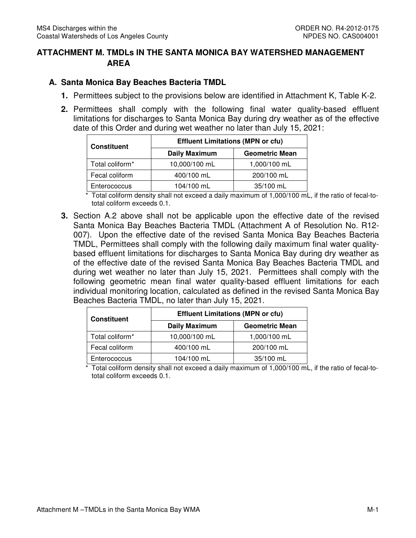## **ATTACHMENT M. TMDLs IN THE SANTA MONICA BAY WATERSHED MANAGEMENT AREA**

## **A. Santa Monica Bay Beaches Bacteria TMDL**

- **1.** Permittees subject to the provisions below are identified in Attachment K, Table K-2.
- **2.** Permittees shall comply with the following final water quality-based effluent limitations for discharges to Santa Monica Bay during dry weather as of the effective date of this Order and during wet weather no later than July 15, 2021:

| <b>Constituent</b>          | <b>Effluent Limitations (MPN or cfu)</b> |                       |  |  |  |
|-----------------------------|------------------------------------------|-----------------------|--|--|--|
|                             | <b>Daily Maximum</b>                     | <b>Geometric Mean</b> |  |  |  |
| Total coliform <sup>*</sup> | 10,000/100 mL                            | 1,000/100 mL          |  |  |  |
| Fecal coliform              | 400/100 mL                               | 200/100 mL            |  |  |  |
| Enterococcus                | 104/100 mL                               | 35/100 mL             |  |  |  |

 total coliform exceeds 0.1. Total coliform density shall not exceed a daily maximum of 1,000/100 mL, if the ratio of fecal-to-

 **3.** Section A.2 above shall not be applicable upon the effective date of the revised Santa Monica Bay Beaches Bacteria TMDL (Attachment A of Resolution No. R12- 007). Upon the effective date of the revised Santa Monica Bay Beaches Bacteria TMDL, Permittees shall comply with the following daily maximum final water quality- based effluent limitations for discharges to Santa Monica Bay during dry weather as of the effective date of the revised Santa Monica Bay Beaches Bacteria TMDL and during wet weather no later than July 15, 2021. Permittees shall comply with the following geometric mean final water quality-based effluent limitations for each individual monitoring location, calculated as defined in the revised Santa Monica Bay Beaches Bacteria TMDL, no later than July 15, 2021.

| <b>Constituent</b>          | <b>Effluent Limitations (MPN or cfu)</b> |                       |  |  |
|-----------------------------|------------------------------------------|-----------------------|--|--|
|                             | <b>Daily Maximum</b>                     | <b>Geometric Mean</b> |  |  |
| Total coliform <sup>*</sup> | 10,000/100 mL                            | 1,000/100 mL          |  |  |
| Fecal coliform              | 400/100 mL                               | 200/100 mL            |  |  |
| Enterococcus                | 104/100 mL                               | 35/100 mL             |  |  |

 \* Total coliform density shall not exceed a daily maximum of 1,000/100 mL, if the ratio of fecal-to-total coliform exceeds 0.1.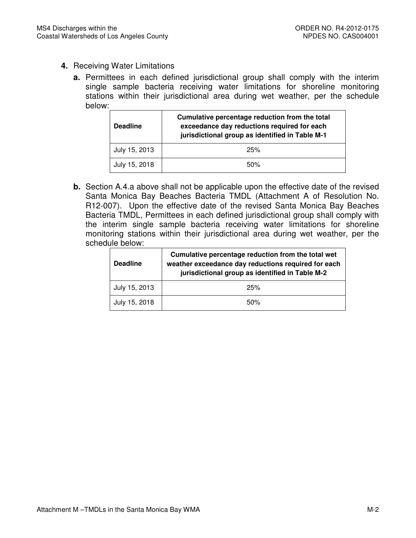- **4.** Receiving Water Limitations
	- **a.** Permittees in each defined jurisdictional group shall comply with the interim single sample bacteria receiving water limitations for shoreline monitoring stations within their jurisdictional area during wet weather, per the schedule below:

| <b>Deadline</b> | Cumulative percentage reduction from the total<br>exceedance day reductions required for each<br>jurisdictional group as identified in Table M-1 |
|-----------------|--------------------------------------------------------------------------------------------------------------------------------------------------|
| July 15, 2013   | 25%                                                                                                                                              |
| July 15, 2018   | 50%                                                                                                                                              |

 **b.** Section A.4.a above shall not be applicable upon the effective date of the revised Santa Monica Bay Beaches Bacteria TMDL (Attachment A of Resolution No. R12-007). Upon the effective date of the revised Santa Monica Bay Beaches Bacteria TMDL, Permittees in each defined jurisdictional group shall comply with the interim single sample bacteria receiving water limitations for shoreline monitoring stations within their jurisdictional area during wet weather, per the schedule below:

| <b>Deadline</b> | Cumulative percentage reduction from the total wet<br>weather exceedance day reductions required for each<br>jurisdictional group as identified in Table M-2 |
|-----------------|--------------------------------------------------------------------------------------------------------------------------------------------------------------|
| July 15, 2013   | 25%                                                                                                                                                          |
| July 15, 2018   | 50%                                                                                                                                                          |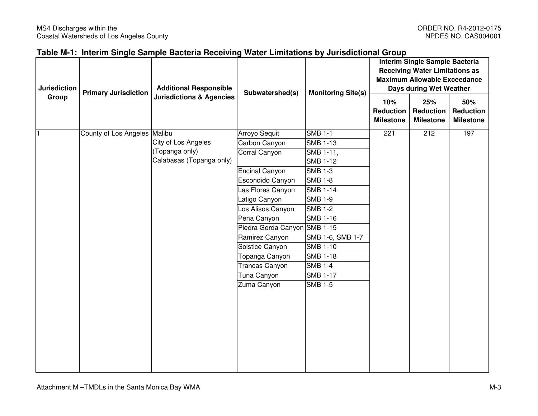## **Table M-1: Interim Single Sample Bacteria Receiving Water Limitations by Jurisdictional Group**

| <b>Jurisdiction</b> | <b>Primary Jurisdiction</b>  | <b>Additional Responsible</b>       |                              | Subwatershed(s)  | <b>Monitoring Site(s)</b>                   | Interim Single Sample Bacteria<br><b>Receiving Water Limitations as</b><br><b>Maximum Allowable Exceedance</b><br>Days during Wet Weather |                                             |  |
|---------------------|------------------------------|-------------------------------------|------------------------------|------------------|---------------------------------------------|-------------------------------------------------------------------------------------------------------------------------------------------|---------------------------------------------|--|
| Group               |                              | <b>Jurisdictions &amp; Agencies</b> |                              |                  | 10%<br><b>Reduction</b><br><b>Milestone</b> | 25%<br><b>Reduction</b><br><b>Milestone</b>                                                                                               | 50%<br><b>Reduction</b><br><b>Milestone</b> |  |
|                     | County of Los Angeles Malibu |                                     | Arroyo Sequit                | <b>SMB 1-1</b>   | 221                                         | 212                                                                                                                                       | 197                                         |  |
|                     |                              | City of Los Angeles                 | Carbon Canyon                | <b>SMB 1-13</b>  |                                             |                                                                                                                                           |                                             |  |
|                     |                              | (Topanga only)                      | Corral Canyon                | SMB 1-11,        |                                             |                                                                                                                                           |                                             |  |
|                     |                              | Calabasas (Topanga only)            |                              | <b>SMB 1-12</b>  |                                             |                                                                                                                                           |                                             |  |
|                     |                              |                                     | Encinal Canyon               | <b>SMB 1-3</b>   |                                             |                                                                                                                                           |                                             |  |
|                     |                              |                                     | Escondido Canyon             | <b>SMB 1-8</b>   |                                             |                                                                                                                                           |                                             |  |
|                     |                              |                                     | Las Flores Canyon            | <b>SMB 1-14</b>  |                                             |                                                                                                                                           |                                             |  |
|                     |                              |                                     | Latigo Canyon                | <b>SMB 1-9</b>   |                                             |                                                                                                                                           |                                             |  |
|                     |                              |                                     | Los Alisos Canyon            | <b>SMB 1-2</b>   |                                             |                                                                                                                                           |                                             |  |
|                     |                              |                                     | Pena Canyon                  | <b>SMB 1-16</b>  |                                             |                                                                                                                                           |                                             |  |
|                     |                              |                                     | Piedra Gorda Canyon SMB 1-15 |                  |                                             |                                                                                                                                           |                                             |  |
|                     |                              |                                     | Ramirez Canyon               | SMB 1-6, SMB 1-7 |                                             |                                                                                                                                           |                                             |  |
|                     |                              |                                     | Solstice Canyon              | <b>SMB 1-10</b>  |                                             |                                                                                                                                           |                                             |  |
|                     |                              |                                     | Topanga Canyon               | <b>SMB 1-18</b>  |                                             |                                                                                                                                           |                                             |  |
|                     |                              |                                     | Trancas Canyon               | <b>SMB 1-4</b>   |                                             |                                                                                                                                           |                                             |  |
|                     |                              |                                     | Tuna Canyon                  | <b>SMB 1-17</b>  |                                             |                                                                                                                                           |                                             |  |
|                     |                              |                                     | Zuma Canyon                  | <b>SMB 1-5</b>   |                                             |                                                                                                                                           |                                             |  |
|                     |                              |                                     |                              |                  |                                             |                                                                                                                                           |                                             |  |
|                     |                              |                                     |                              |                  |                                             |                                                                                                                                           |                                             |  |
|                     |                              |                                     |                              |                  |                                             |                                                                                                                                           |                                             |  |
|                     |                              |                                     |                              |                  |                                             |                                                                                                                                           |                                             |  |
|                     |                              |                                     |                              |                  |                                             |                                                                                                                                           |                                             |  |
|                     |                              |                                     |                              |                  |                                             |                                                                                                                                           |                                             |  |
|                     |                              |                                     |                              |                  |                                             |                                                                                                                                           |                                             |  |
|                     |                              |                                     |                              |                  |                                             |                                                                                                                                           |                                             |  |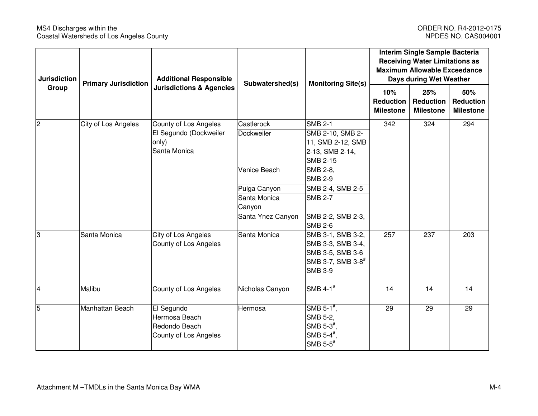### MS4 Discharges within the Controller County Constant Constant Constant Constant ORDER NO. R4-2012-0175<br>Coastal Watersheds of Los Angeles County Constant Constant Constant Constant Constant Constant Constant Consta Coastal Watersheds of Los Angeles County

| <b>Jurisdiction</b> | <b>Additional Responsible</b><br><b>Primary Jurisdiction</b><br>Subwatershed(s) | <b>Monitoring Site(s)</b>                                             | Interim Single Sample Bacteria<br><b>Receiving Water Limitations as</b><br><b>Maximum Allowable Exceedance</b><br>Days during Wet Weather |                                                                                                                 |                                             |                                             |                                             |
|---------------------|---------------------------------------------------------------------------------|-----------------------------------------------------------------------|-------------------------------------------------------------------------------------------------------------------------------------------|-----------------------------------------------------------------------------------------------------------------|---------------------------------------------|---------------------------------------------|---------------------------------------------|
| Group               |                                                                                 | <b>Jurisdictions &amp; Agencies</b>                                   |                                                                                                                                           |                                                                                                                 | 10%<br><b>Reduction</b><br><b>Milestone</b> | 25%<br><b>Reduction</b><br><b>Milestone</b> | 50%<br><b>Reduction</b><br><b>Milestone</b> |
| $\overline{2}$      | City of Los Angeles                                                             | County of Los Angeles                                                 | Castlerock                                                                                                                                | <b>SMB 2-1</b>                                                                                                  | 342                                         | 324                                         | 294                                         |
|                     |                                                                                 | El Segundo (Dockweiler                                                | Dockweiler                                                                                                                                | SMB 2-10, SMB 2-                                                                                                |                                             |                                             |                                             |
|                     |                                                                                 | only)                                                                 |                                                                                                                                           | 11, SMB 2-12, SMB                                                                                               |                                             |                                             |                                             |
|                     |                                                                                 | Santa Monica                                                          |                                                                                                                                           | 2-13, SMB 2-14,                                                                                                 |                                             |                                             |                                             |
|                     |                                                                                 |                                                                       |                                                                                                                                           | <b>SMB 2-15</b>                                                                                                 |                                             |                                             |                                             |
|                     |                                                                                 |                                                                       | Venice Beach                                                                                                                              | SMB 2-8,                                                                                                        |                                             |                                             |                                             |
|                     |                                                                                 |                                                                       |                                                                                                                                           | <b>SMB 2-9</b>                                                                                                  |                                             |                                             |                                             |
|                     |                                                                                 |                                                                       | Pulga Canyon                                                                                                                              | SMB 2-4, SMB 2-5                                                                                                |                                             |                                             |                                             |
|                     |                                                                                 |                                                                       | Santa Monica                                                                                                                              | <b>SMB 2-7</b>                                                                                                  |                                             |                                             |                                             |
|                     |                                                                                 |                                                                       | Canyon                                                                                                                                    |                                                                                                                 |                                             |                                             |                                             |
|                     |                                                                                 |                                                                       | Santa Ynez Canyon                                                                                                                         | SMB 2-2, SMB 2-3,<br><b>SMB 2-6</b>                                                                             |                                             |                                             |                                             |
| 3                   | Santa Monica                                                                    | City of Los Angeles                                                   | Santa Monica                                                                                                                              | SMB 3-1, SMB 3-2,                                                                                               | 257                                         | 237                                         | 203                                         |
|                     |                                                                                 | County of Los Angeles                                                 |                                                                                                                                           | SMB 3-3, SMB 3-4,                                                                                               |                                             |                                             |                                             |
|                     |                                                                                 |                                                                       |                                                                                                                                           | SMB 3-5, SMB 3-6                                                                                                |                                             |                                             |                                             |
|                     |                                                                                 |                                                                       |                                                                                                                                           | SMB 3-7, SMB 3-8 <sup>#</sup>                                                                                   |                                             |                                             |                                             |
|                     |                                                                                 |                                                                       |                                                                                                                                           | <b>SMB 3-9</b>                                                                                                  |                                             |                                             |                                             |
| $\overline{4}$      | Malibu                                                                          | County of Los Angeles                                                 | Nicholas Canyon                                                                                                                           | SMB $4-1$ <sup>#</sup>                                                                                          | 14                                          | 14                                          | 14                                          |
| 5                   | Manhattan Beach                                                                 | El Segundo<br>Hermosa Beach<br>Redondo Beach<br>County of Los Angeles | Hermosa                                                                                                                                   | SMB 5-1 $^{\#}$ ,<br>SMB 5-2,<br>SMB $5-3^{\frac{4}{3}}$<br>SMB $5-4^{\frac{4}{3}}$ ,<br>SMB $5-5$ <sup>#</sup> | 29                                          | 29                                          | 29                                          |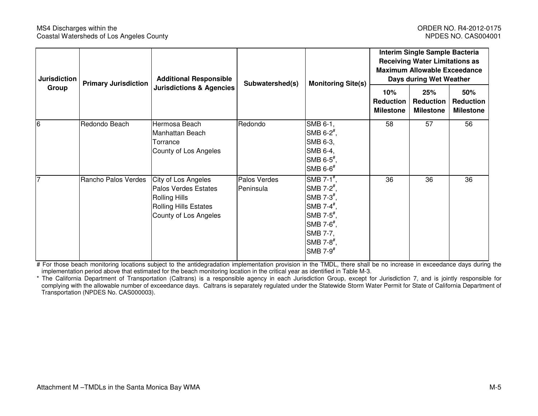#### MS4 Discharges within the **National Struck of the ORDER NO. R4-2012-0175** NS4 Discharges within the Coastal Watersheds of Los Angeles County **NPDES NO.** CAS004001

| Jurisdiction   | <b>Primary Jurisdiction</b> | <b>Additional Responsible</b>                                                                                                       | Subwatershed(s)<br><b>Monitoring Site(s)</b> |                                                                                                                                                                                                                  | Interim Single Sample Bacteria<br><b>Receiving Water Limitations as</b><br><b>Maximum Allowable Exceedance</b><br>Days during Wet Weather |                                             |                                             |
|----------------|-----------------------------|-------------------------------------------------------------------------------------------------------------------------------------|----------------------------------------------|------------------------------------------------------------------------------------------------------------------------------------------------------------------------------------------------------------------|-------------------------------------------------------------------------------------------------------------------------------------------|---------------------------------------------|---------------------------------------------|
| Group          |                             | <b>Jurisdictions &amp; Agencies</b>                                                                                                 |                                              |                                                                                                                                                                                                                  | 10%<br><b>Reduction</b><br><b>Milestone</b>                                                                                               | 25%<br><b>Reduction</b><br><b>Milestone</b> | 50%<br><b>Reduction</b><br><b>Milestone</b> |
| 6              | Redondo Beach               | Hermosa Beach<br>Manhattan Beach<br>Torrance<br>County of Los Angeles                                                               | Redondo                                      | SMB 6-1,<br>SMB $6-2^{\frac{\pi}{2}}$ ,<br>SMB 6-3,<br>SMB 6-4,<br>SMB $6-5^{\frac{1}{7}}$ ,<br>SMB $6-6$ <sup>#</sup>                                                                                           | 58                                                                                                                                        | 57                                          | 56                                          |
| $\overline{7}$ | Rancho Palos Verdes         | City of Los Angeles<br><b>Palos Verdes Estates</b><br><b>Rolling Hills</b><br><b>Rolling Hills Estates</b><br>County of Los Angeles | Palos Verdes<br>Peninsula                    | SMB 7-1 $#$ ,<br>SMB 7- $2^{\frac{\pi}{2}}$ ,<br>SMB $7-3^{\frac{\pi}{2}}$ ,<br>SMB 7-4 $#$ ,<br>SMB 7- $5^{\frac{1}{2}}$ ,<br>SMB 7- $6^{\frac{4}{3}}$ ,<br>SMB 7-7,<br>SMB 7-8 $#$ ,<br>SMB $7-9$ <sup>#</sup> | 36                                                                                                                                        | 36                                          | 36                                          |

# For those beach monitoring locations subject to the antidegradation implementation provision in the TMDL, there shall be no increase in exceedance days during the implementation period above that estimated for the beach monitoring location in the critical year as identified in Table M-3.

\* The California Department of Transportation (Caltrans) is a responsible agency in each Jurisdiction Group, except for Jurisdiction 7, and is jointly responsible for complying with the allowable number of exceedance days. Caltrans is separately regulated under the Statewide Storm Water Permit for State of California Department of Transportation (NPDES No. CAS000003).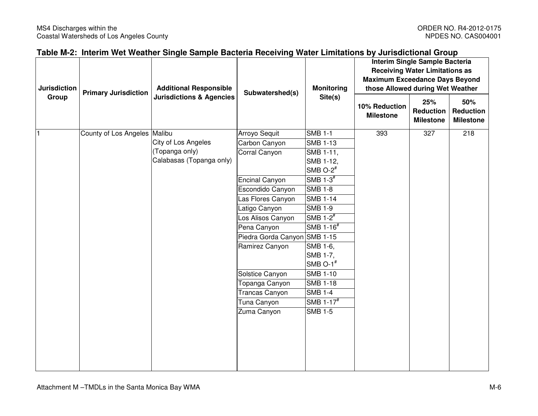| Table M-2: Interim Wet Weather Single Sample Bacteria Receiving Water Limitations by Jurisdictional Group |  |  |
|-----------------------------------------------------------------------------------------------------------|--|--|
|                                                                                                           |  |  |

| <b>Jurisdiction</b> |                              |                                     | <b>Additional Responsible</b><br>Subwatershed(s) |                        |                                   | <b>Monitoring</b>                           | Interim Single Sample Bacteria<br><b>Receiving Water Limitations as</b><br><b>Maximum Exceedance Days Beyond</b><br>those Allowed during Wet Weather |  |  |
|---------------------|------------------------------|-------------------------------------|--------------------------------------------------|------------------------|-----------------------------------|---------------------------------------------|------------------------------------------------------------------------------------------------------------------------------------------------------|--|--|
| Group               | <b>Primary Jurisdiction</b>  | <b>Jurisdictions &amp; Agencies</b> |                                                  | Site(s)                | 10% Reduction<br><b>Milestone</b> | 25%<br><b>Reduction</b><br><b>Milestone</b> | 50%<br>Reduction<br><b>Milestone</b>                                                                                                                 |  |  |
|                     | County of Los Angeles Malibu |                                     | Arroyo Sequit                                    | <b>SMB 1-1</b>         | 393                               | 327                                         | 218                                                                                                                                                  |  |  |
|                     |                              | City of Los Angeles                 | Carbon Canyon                                    | <b>SMB 1-13</b>        |                                   |                                             |                                                                                                                                                      |  |  |
|                     |                              | (Topanga only)                      | Corral Canyon                                    | SMB 1-11,              |                                   |                                             |                                                                                                                                                      |  |  |
|                     |                              | Calabasas (Topanga only)            |                                                  | SMB 1-12,              |                                   |                                             |                                                                                                                                                      |  |  |
|                     |                              |                                     |                                                  | SMB $O-2$ <sup>#</sup> |                                   |                                             |                                                                                                                                                      |  |  |
|                     |                              |                                     | Encinal Canyon                                   | SMB $1-3$ <sup>#</sup> |                                   |                                             |                                                                                                                                                      |  |  |
|                     |                              |                                     | Escondido Canyon                                 | <b>SMB 1-8</b>         |                                   |                                             |                                                                                                                                                      |  |  |
|                     |                              |                                     | Las Flores Canyon                                | <b>SMB 1-14</b>        |                                   |                                             |                                                                                                                                                      |  |  |
|                     |                              |                                     | Latigo Canyon                                    | <b>SMB 1-9</b>         |                                   |                                             |                                                                                                                                                      |  |  |
|                     |                              |                                     | Los Alisos Canyon                                | SMB $1-2^{\#}$         |                                   |                                             |                                                                                                                                                      |  |  |
|                     |                              |                                     | Pena Canyon                                      | SMB 1-16#              |                                   |                                             |                                                                                                                                                      |  |  |
|                     |                              |                                     | Piedra Gorda Canyon                              | <b>SMB 1-15</b>        |                                   |                                             |                                                                                                                                                      |  |  |
|                     |                              |                                     | Ramirez Canyon                                   | SMB 1-6,               |                                   |                                             |                                                                                                                                                      |  |  |
|                     |                              |                                     |                                                  | SMB 1-7,               |                                   |                                             |                                                                                                                                                      |  |  |
|                     |                              |                                     |                                                  | SMB O- $1^{\#}$        |                                   |                                             |                                                                                                                                                      |  |  |
|                     |                              |                                     | Solstice Canyon                                  | <b>SMB 1-10</b>        |                                   |                                             |                                                                                                                                                      |  |  |
|                     |                              |                                     | Topanga Canyon                                   | <b>SMB 1-18</b>        |                                   |                                             |                                                                                                                                                      |  |  |
|                     |                              |                                     | Trancas Canyon                                   | <b>SMB 1-4</b>         |                                   |                                             |                                                                                                                                                      |  |  |
|                     |                              |                                     | Tuna Canyon                                      | SMB 1-17#              |                                   |                                             |                                                                                                                                                      |  |  |
|                     |                              |                                     | Zuma Canyon                                      | <b>SMB 1-5</b>         |                                   |                                             |                                                                                                                                                      |  |  |
|                     |                              |                                     |                                                  |                        |                                   |                                             |                                                                                                                                                      |  |  |
|                     |                              |                                     |                                                  |                        |                                   |                                             |                                                                                                                                                      |  |  |
|                     |                              |                                     |                                                  |                        |                                   |                                             |                                                                                                                                                      |  |  |
|                     |                              |                                     |                                                  |                        |                                   |                                             |                                                                                                                                                      |  |  |
|                     |                              |                                     |                                                  |                        |                                   |                                             |                                                                                                                                                      |  |  |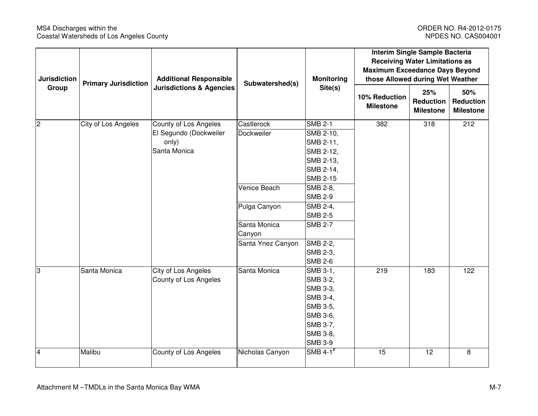### MS4 Discharges within the Controller County Constant Constant Constant Constant ORDER NO. R4-2012-0175<br>Coastal Watersheds of Los Angeles County Constant Constant Constant Constant Constant Constant Constant Consta Coastal Watersheds of Los Angeles County

| <b>Jurisdiction</b> | <b>Primary Jurisdiction</b>         | <b>Additional Responsible</b> | Subwatershed(s)   | <b>Monitoring</b>                 | Interim Single Sample Bacteria<br><b>Receiving Water Limitations as</b><br><b>Maximum Exceedance Days Beyond</b><br>those Allowed during Wet Weather |                                             |     |
|---------------------|-------------------------------------|-------------------------------|-------------------|-----------------------------------|------------------------------------------------------------------------------------------------------------------------------------------------------|---------------------------------------------|-----|
| Group               | <b>Jurisdictions &amp; Agencies</b> |                               | Site(s)           | 10% Reduction<br><b>Milestone</b> | 25%<br><b>Reduction</b><br><b>Milestone</b>                                                                                                          | 50%<br><b>Reduction</b><br><b>Milestone</b> |     |
| $\overline{c}$      | City of Los Angeles                 | County of Los Angeles         | Castlerock        | <b>SMB 2-1</b>                    | 382                                                                                                                                                  | 318                                         | 212 |
|                     |                                     | El Segundo (Dockweiler        | Dockweiler        | SMB 2-10,                         |                                                                                                                                                      |                                             |     |
|                     |                                     | only)                         |                   | SMB 2-11,                         |                                                                                                                                                      |                                             |     |
|                     |                                     | Santa Monica                  |                   | SMB 2-12,                         |                                                                                                                                                      |                                             |     |
|                     |                                     |                               |                   | SMB 2-13,                         |                                                                                                                                                      |                                             |     |
|                     |                                     |                               |                   | SMB 2-14,                         |                                                                                                                                                      |                                             |     |
|                     |                                     |                               |                   | <b>SMB 2-15</b>                   |                                                                                                                                                      |                                             |     |
|                     |                                     |                               | Venice Beach      | SMB 2-8,                          |                                                                                                                                                      |                                             |     |
|                     |                                     |                               |                   | <b>SMB 2-9</b>                    |                                                                                                                                                      |                                             |     |
|                     |                                     |                               | Pulga Canyon      | SMB 2-4,                          |                                                                                                                                                      |                                             |     |
|                     |                                     |                               |                   | <b>SMB 2-5</b>                    |                                                                                                                                                      |                                             |     |
|                     |                                     |                               | Santa Monica      | <b>SMB 2-7</b>                    |                                                                                                                                                      |                                             |     |
|                     |                                     |                               | Canyon            |                                   |                                                                                                                                                      |                                             |     |
|                     |                                     |                               | Santa Ynez Canyon | SMB 2-2,                          |                                                                                                                                                      |                                             |     |
|                     |                                     |                               |                   | SMB 2-3,                          |                                                                                                                                                      |                                             |     |
|                     |                                     |                               |                   | <b>SMB 2-6</b>                    |                                                                                                                                                      |                                             |     |
| 3                   | Santa Monica                        | City of Los Angeles           | Santa Monica      | SMB 3-1,                          | 219                                                                                                                                                  | $\frac{183}{ }$                             | 122 |
|                     |                                     | County of Los Angeles         |                   | SMB 3-2,                          |                                                                                                                                                      |                                             |     |
|                     |                                     |                               |                   | SMB 3-3,                          |                                                                                                                                                      |                                             |     |
|                     |                                     |                               |                   | SMB 3-4,                          |                                                                                                                                                      |                                             |     |
|                     |                                     |                               |                   | SMB 3-5,                          |                                                                                                                                                      |                                             |     |
|                     |                                     |                               |                   | SMB 3-6,<br>SMB 3-7,              |                                                                                                                                                      |                                             |     |
|                     |                                     |                               |                   | SMB 3-8,                          |                                                                                                                                                      |                                             |     |
|                     |                                     |                               |                   | <b>SMB 3-9</b>                    |                                                                                                                                                      |                                             |     |
| $\overline{4}$      | Malibu                              |                               | Nicholas Canyon   | SMB $4-1$ <sup>#</sup>            | 15                                                                                                                                                   | 12                                          | 8   |
|                     |                                     | County of Los Angeles         |                   |                                   |                                                                                                                                                      |                                             |     |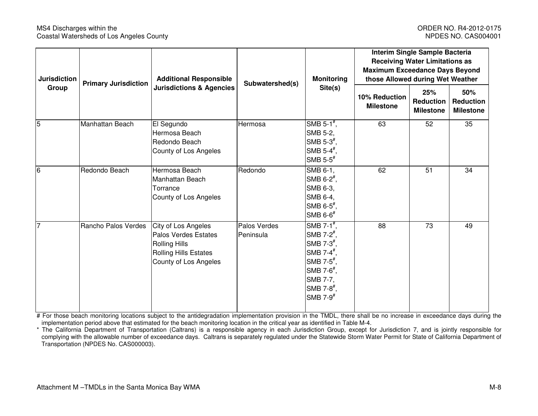#### MS4 Discharges within the Constanting Control of the ORDER NO. R4-2012-0175<br>Coastal Watersheds of Los Angeles County Coastal Watersheds of Los Angeles County Coastal Watersheds of Los Angeles County

| <b>Jurisdiction</b> | <b>Primary Jurisdiction</b> | <b>Additional Responsible</b>                                                                                                       | Subwatershed(s)           | <b>Monitoring</b><br>Site(s)                                                                                                                                                                                       | Interim Single Sample Bacteria<br><b>Receiving Water Limitations as</b><br><b>Maximum Exceedance Days Beyond</b><br>those Allowed during Wet Weather |                                             |                                             |
|---------------------|-----------------------------|-------------------------------------------------------------------------------------------------------------------------------------|---------------------------|--------------------------------------------------------------------------------------------------------------------------------------------------------------------------------------------------------------------|------------------------------------------------------------------------------------------------------------------------------------------------------|---------------------------------------------|---------------------------------------------|
| Group               |                             | <b>Jurisdictions &amp; Agencies</b>                                                                                                 |                           |                                                                                                                                                                                                                    | 10% Reduction<br><b>Milestone</b>                                                                                                                    | 25%<br><b>Reduction</b><br><b>Milestone</b> | 50%<br><b>Reduction</b><br><b>Milestone</b> |
| 5                   | Manhattan Beach             | El Segundo<br>Hermosa Beach<br>Redondo Beach<br>County of Los Angeles                                                               | Hermosa                   | SMB 5-1 $#$ ,<br>SMB 5-2,<br>SMB $5-3^{\frac{4}{7}}$ ,<br>SMB $5-4^{\frac{4}{3}}$ ,<br>SMB $5-5$ <sup>#</sup>                                                                                                      | 63                                                                                                                                                   | 52                                          | 35                                          |
| 6                   | Redondo Beach               | Hermosa Beach<br>Manhattan Beach<br>Torrance<br>County of Los Angeles                                                               | Redondo                   | SMB 6-1,<br>SMB 6-2 <sup>#</sup> ,<br>SMB 6-3,<br>SMB 6-4,<br>SMB $6-5^{\frac{1}{7}}$ ,<br>SMB $6-6$ <sup>#</sup>                                                                                                  | 62                                                                                                                                                   | 51                                          | 34                                          |
| $\overline{7}$      | Rancho Palos Verdes         | City of Los Angeles<br><b>Palos Verdes Estates</b><br><b>Rolling Hills</b><br><b>Rolling Hills Estates</b><br>County of Los Angeles | Palos Verdes<br>Peninsula | SMB 7-1 $^{\#}$ ,<br>SMB 7- $2^{\frac{\pi}{2}}$ ,<br>SMB $7-3^{\frac{4}{7}}$ ,<br>SMB 7-4 $#$ ,<br>SMB 7- $5^{\frac{1}{7}}$ ,<br>SMB 7- $6^{\frac{4}{7}}$ ,<br>SMB 7-7,<br>SMB 7-8 $#$ ,<br>SMB $7-9$ <sup>#</sup> | 88                                                                                                                                                   | 73                                          | 49                                          |

# For those beach monitoring locations subject to the antidegradation implementation provision in the TMDL, there shall be no increase in exceedance days during the implementation period above that estimated for the beach monitoring location in the critical year as identified in Table M-4.

\* The California Department of Transportation (Caltrans) is a responsible agency in each Jurisdiction Group, except for Jurisdiction 7, and is jointly responsible for complying with the allowable number of exceedance days. Caltrans is separately regulated under the Statewide Storm Water Permit for State of California Department of Transportation (NPDES No. CAS000003).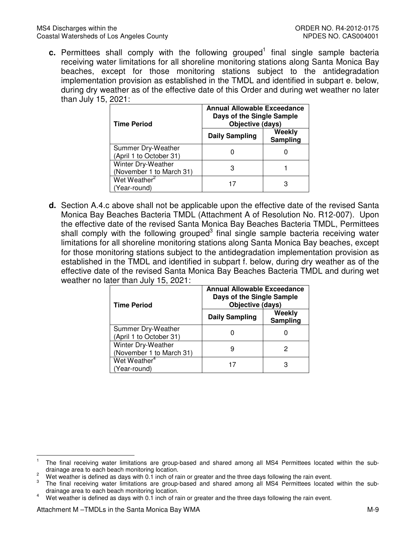c. Permittees shall comply with the following grouped<sup>1</sup> final single sample bacteria receiving water limitations for all shoreline monitoring stations along Santa Monica Bay beaches, except for those monitoring stations subject to the antidegradation implementation provision as established in the TMDL and identified in subpart e. below, during dry weather as of the effective date of this Order and during wet weather no later than July 15, 2021:

| <b>Time Period</b>                             | <b>Annual Allowable Exceedance</b><br>Days of the Single Sample<br>Objective (days) |                    |  |  |  |
|------------------------------------------------|-------------------------------------------------------------------------------------|--------------------|--|--|--|
|                                                | <b>Daily Sampling</b>                                                               | Weekly<br>Sampling |  |  |  |
| Summer Dry-Weather<br>(April 1 to October 31)  |                                                                                     |                    |  |  |  |
| Winter Dry-Weather<br>(November 1 to March 31) |                                                                                     |                    |  |  |  |
| Wet Weather <sup>2</sup><br>(Year-round)       |                                                                                     |                    |  |  |  |

 **d.** Section A.4.c above shall not be applicable upon the effective date of the revised Santa Monica Bay Beaches Bacteria TMDL (Attachment A of Resolution No. R12-007). Upon the effective date of the revised Santa Monica Bay Beaches Bacteria TMDL, Permittees shall comply with the following grouped $3$  final single sample bacteria receiving water limitations for all shoreline monitoring stations along Santa Monica Bay beaches, except for those monitoring stations subject to the antidegradation implementation provision as established in the TMDL and identified in subpart f. below, during dry weather as of the effective date of the revised Santa Monica Bay Beaches Bacteria TMDL and during wet weather no later than July 15, 2021:

| <b>Time Period</b>                             | <b>Annual Allowable Exceedance</b><br>Days of the Single Sample<br>Objective (days) |                    |  |  |
|------------------------------------------------|-------------------------------------------------------------------------------------|--------------------|--|--|
|                                                | <b>Daily Sampling</b>                                                               | Weekly<br>Sampling |  |  |
| Summer Dry-Weather<br>(April 1 to October 31)  |                                                                                     |                    |  |  |
| Winter Dry-Weather<br>(November 1 to March 31) | ч                                                                                   |                    |  |  |
| Wet Weather <sup>4</sup><br>(Year-round)       | 17                                                                                  | З                  |  |  |

 $\overline{\phantom{0}}$ 

 drainage area to each beach monitoring location.  $<sup>1</sup>$  The final receiving water limitations are group-based and shared among all MS4 Permittees located within the sub-</sup>

<sup>&</sup>lt;sup>2</sup> Wet weather is defined as days with 0.1 inch of rain or greater and the three days following the rain event.

 drainage area to each beach monitoring location. 3 The final receiving water limitations are group-based and shared among all MS4 Permittees located within the sub-

<sup>&</sup>lt;sup>4</sup> Wet weather is defined as days with 0.1 inch of rain or greater and the three days following the rain event.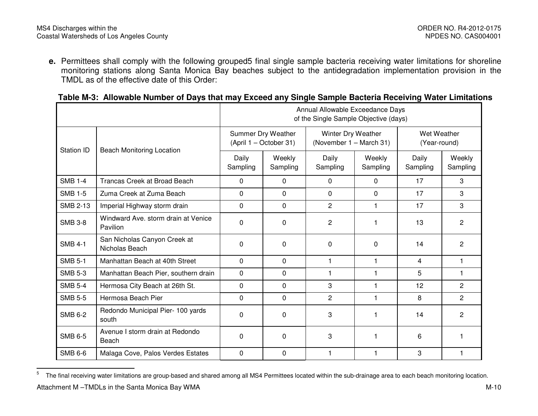**e.** Permittees shall comply with the following grouped5 final single sample bacteria receiving water limitations for shoreline monitoring stations along Santa Monica Bay beaches subject to the antidegradation implementation provision in the TMDL as of the effective date of this Order:

### **Table M-3: Allowable Number of Days that may Exceed any Single Sample Bacteria Receiving Water Limitations**

|                |                                                 | Annual Allowable Exceedance Days<br>of the Single Sample Objective (days) |                    |                                               |                    |                             |                    |
|----------------|-------------------------------------------------|---------------------------------------------------------------------------|--------------------|-----------------------------------------------|--------------------|-----------------------------|--------------------|
|                |                                                 | Summer Dry Weather<br>(April 1 – October 31)                              |                    | Winter Dry Weather<br>(November 1 - March 31) |                    | Wet Weather<br>(Year-round) |                    |
| Station ID     | <b>Beach Monitoring Location</b>                | Daily<br>Sampling                                                         | Weekly<br>Sampling | Daily<br>Sampling                             | Weekly<br>Sampling | Daily<br>Sampling           | Weekly<br>Sampling |
| <b>SMB 1-4</b> | Trancas Creek at Broad Beach                    | $\mathbf{0}$                                                              | $\Omega$           | $\Omega$                                      | $\Omega$           | 17                          | 3                  |
| <b>SMB 1-5</b> | Zuma Creek at Zuma Beach                        | 0                                                                         | 0                  | $\Omega$                                      | 0                  | 17                          | 3                  |
| SMB 2-13       | Imperial Highway storm drain                    | 0                                                                         | 0                  | $\overline{c}$                                | $\mathbf{1}$       | 17                          | 3                  |
| <b>SMB 3-8</b> | Windward Ave. storm drain at Venice<br>Pavilion | $\mathbf 0$                                                               | 0                  | $\overline{2}$                                |                    | 13                          | $\overline{2}$     |
| <b>SMB 4-1</b> | San Nicholas Canyon Creek at<br>Nicholas Beach  | $\Omega$                                                                  | 0                  | 0                                             | $\Omega$           | 14                          | $\mathbf{2}$       |
| <b>SMB 5-1</b> | Manhattan Beach at 40th Street                  | 0                                                                         | 0                  | 1                                             | $\mathbf{1}$       | $\overline{4}$              | $\mathbf{1}$       |
| <b>SMB 5-3</b> | Manhattan Beach Pier, southern drain            | 0                                                                         | 0                  | $\mathbf{1}$                                  | 1                  | 5                           |                    |
| <b>SMB 5-4</b> | Hermosa City Beach at 26th St.                  | 0                                                                         | 0                  | 3                                             | 1                  | 12                          | $\mathbf{2}$       |
| <b>SMB 5-5</b> | Hermosa Beach Pier                              | 0                                                                         | 0                  | 2                                             | 1                  | 8                           | $\overline{2}$     |
| <b>SMB 6-2</b> | Redondo Municipal Pier- 100 yards<br>south      | 0                                                                         | 0                  | 3                                             | 1                  | 14                          | $\overline{c}$     |
| <b>SMB 6-5</b> | Avenue I storm drain at Redondo<br>Beach        | 0                                                                         | 0                  | 3                                             |                    | 6                           |                    |
| <b>SMB 6-6</b> | Malaga Cove, Palos Verdes Estates               | $\Omega$                                                                  | 0                  | 1                                             | 1                  | 3                           |                    |

<sup>&</sup>lt;sup>5</sup> The final receiving water limitations are group-based and shared among all MS4 Permittees located within the sub-drainage area to each beach monitoring location.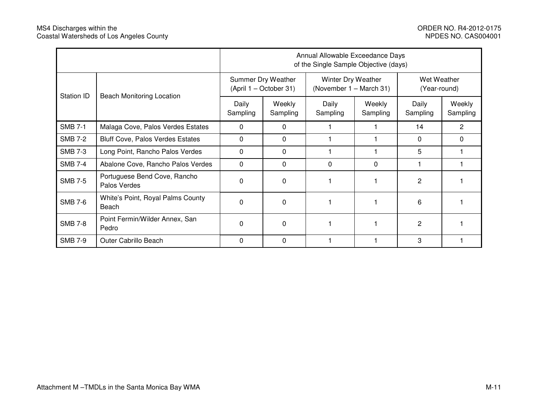|                |                                              | Annual Allowable Exceedance Days<br>of the Single Sample Objective (days) |                                              |                   |                                               |                   |                             |  |
|----------------|----------------------------------------------|---------------------------------------------------------------------------|----------------------------------------------|-------------------|-----------------------------------------------|-------------------|-----------------------------|--|
| Station ID     |                                              |                                                                           | Summer Dry Weather<br>(April 1 - October 31) |                   | Winter Dry Weather<br>(November 1 – March 31) |                   | Wet Weather<br>(Year-round) |  |
|                | <b>Beach Monitoring Location</b>             | Daily<br>Sampling                                                         | Weekly<br>Sampling                           | Daily<br>Sampling | Weekly<br>Sampling                            | Daily<br>Sampling | Weekly<br>Sampling          |  |
| <b>SMB 7-1</b> | Malaga Cove, Palos Verdes Estates            | 0                                                                         | 0                                            |                   |                                               | 14                | 2                           |  |
| <b>SMB 7-2</b> | <b>Bluff Cove, Palos Verdes Estates</b>      | 0                                                                         | 0                                            |                   |                                               | 0                 | 0                           |  |
| <b>SMB 7-3</b> | Long Point, Rancho Palos Verdes              | 0                                                                         | 0                                            |                   |                                               | 5                 |                             |  |
| <b>SMB 7-4</b> | Abalone Cove, Rancho Palos Verdes            | 0                                                                         | 0                                            | 0                 | 0                                             |                   |                             |  |
| <b>SMB 7-5</b> | Portuguese Bend Cove, Rancho<br>Palos Verdes | 0                                                                         | 0                                            |                   |                                               | 2                 |                             |  |
| <b>SMB 7-6</b> | White's Point, Royal Palms County<br>Beach   | 0                                                                         | 0                                            |                   |                                               | 6                 |                             |  |
| <b>SMB 7-8</b> | Point Fermin/Wilder Annex, San<br>Pedro      | 0                                                                         | 0                                            |                   |                                               | 2                 |                             |  |
| <b>SMB 7-9</b> | <b>Outer Cabrillo Beach</b>                  | $\Omega$                                                                  | 0                                            |                   |                                               | 3                 |                             |  |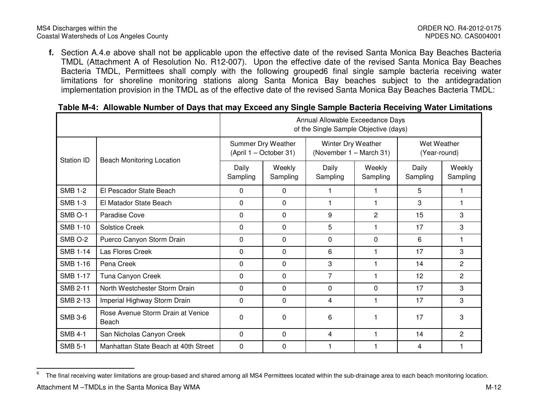**f.** Section A.4.e above shall not be applicable upon the effective date of the revised Santa Monica Bay Beaches Bacteria TMDL (Attachment A of Resolution No. R12-007). Upon the effective date of the revised Santa Monica Bay Beaches Bacteria TMDL, Permittees shall comply with the following grouped6 final single sample bacteria receiving water limitations for shoreline monitoring stations along Santa Monica Bay beaches subject to the antidegradation implementation provision in the TMDL as of the effective date of the revised Santa Monica Bay Beaches Bacteria TMDL:

| Table M-4: Allowable Number of Days that may Exceed any Single Sample Bacteria Receiving Water Limitations |  |  |  |  |  |
|------------------------------------------------------------------------------------------------------------|--|--|--|--|--|
|                                                                                                            |  |  |  |  |  |

|                    |                                            | Annual Allowable Exceedance Days<br>of the Single Sample Objective (days) |                    |                                               |                    |                             |                    |
|--------------------|--------------------------------------------|---------------------------------------------------------------------------|--------------------|-----------------------------------------------|--------------------|-----------------------------|--------------------|
|                    |                                            | Summer Dry Weather<br>(April 1 - October 31)                              |                    | Winter Dry Weather<br>(November 1 - March 31) |                    | Wet Weather<br>(Year-round) |                    |
| Station ID         | <b>Beach Monitoring Location</b>           | Daily<br>Sampling                                                         | Weekly<br>Sampling | Daily<br>Sampling                             | Weekly<br>Sampling | Daily<br>Sampling           | Weekly<br>Sampling |
| <b>SMB 1-2</b>     | El Pescador State Beach                    | $\Omega$                                                                  | 0                  |                                               |                    | 5                           |                    |
| <b>SMB 1-3</b>     | El Matador State Beach                     | 0                                                                         | $\Omega$           |                                               |                    | 3                           |                    |
| SMB <sub>O-1</sub> | Paradise Cove                              | $\mathbf 0$                                                               | 0                  | 9                                             | $\overline{2}$     | 15                          | 3                  |
| <b>SMB 1-10</b>    | <b>Solstice Creek</b>                      | $\mathbf 0$                                                               | $\Omega$           | 5                                             | $\mathbf 1$        | 17                          | 3                  |
| SMB O-2            | Puerco Canyon Storm Drain                  | $\mathbf 0$                                                               | 0                  | $\mathbf 0$                                   | $\mathbf 0$        | 6                           |                    |
| <b>SMB 1-14</b>    | Las Flores Creek                           | 0                                                                         | $\Omega$           | 6                                             |                    | 17                          | 3                  |
| <b>SMB 1-16</b>    | Pena Creek                                 | $\Omega$                                                                  | $\Omega$           | 3                                             |                    | 14                          | $\mathbf{2}$       |
| <b>SMB 1-17</b>    | Tuna Canyon Creek                          | $\mathbf 0$                                                               | $\Omega$           | 7                                             |                    | 12                          | $\mathbf{2}$       |
| <b>SMB 2-11</b>    | North Westchester Storm Drain              | $\Omega$                                                                  | $\Omega$           | $\Omega$                                      | $\Omega$           | 17                          | 3                  |
| <b>SMB 2-13</b>    | Imperial Highway Storm Drain               | $\mathbf 0$                                                               | 0                  | 4                                             |                    | 17                          | 3                  |
| <b>SMB 3-6</b>     | Rose Avenue Storm Drain at Venice<br>Beach | $\Omega$                                                                  | 0                  | 6                                             |                    | 17                          | 3                  |
| <b>SMB 4-1</b>     | San Nicholas Canyon Creek                  | 0                                                                         | $\Omega$           | 4                                             |                    | 14                          | $\overline{2}$     |
| <b>SMB 5-1</b>     | Manhattan State Beach at 40th Street       | $\Omega$                                                                  | 0                  |                                               |                    | 4                           |                    |

<sup>&</sup>lt;sup>6</sup> The final receiving water limitations are group-based and shared among all MS4 Permittees located within the sub-drainage area to each beach monitoring location.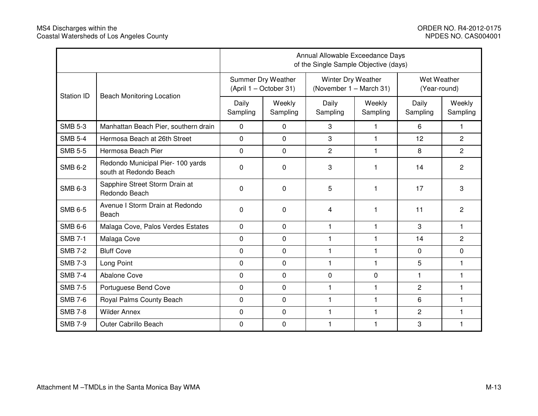|                   |                                                             | Annual Allowable Exceedance Days<br>of the Single Sample Objective (days) |                    |                   |                                               |                   |                             |  |
|-------------------|-------------------------------------------------------------|---------------------------------------------------------------------------|--------------------|-------------------|-----------------------------------------------|-------------------|-----------------------------|--|
|                   |                                                             | Summer Dry Weather<br>(April 1 - October 31)                              |                    |                   | Winter Dry Weather<br>(November 1 - March 31) |                   | Wet Weather<br>(Year-round) |  |
| <b>Station ID</b> | <b>Beach Monitoring Location</b>                            | Daily<br>Sampling                                                         | Weekly<br>Sampling | Daily<br>Sampling | Weekly<br>Sampling                            | Daily<br>Sampling | Weekly<br>Sampling          |  |
| <b>SMB 5-3</b>    | Manhattan Beach Pier, southern drain                        | $\Omega$                                                                  | $\Omega$           | 3                 | 1                                             | 6                 | 1                           |  |
| <b>SMB 5-4</b>    | Hermosa Beach at 26th Street                                | $\mathbf 0$                                                               | $\mathbf 0$        | 3                 | 1                                             | 12                | $\overline{2}$              |  |
| <b>SMB 5-5</b>    | Hermosa Beach Pier                                          | $\mathbf 0$                                                               | $\mathbf 0$        | $\overline{2}$    | 1                                             | 8                 | $\overline{2}$              |  |
| <b>SMB 6-2</b>    | Redondo Municipal Pier- 100 yards<br>south at Redondo Beach | $\mathbf 0$                                                               | $\Omega$           | 3                 | 1                                             | 14                | 2                           |  |
| <b>SMB 6-3</b>    | Sapphire Street Storm Drain at<br>Redondo Beach             | $\mathbf 0$                                                               | 0                  | 5                 | 1                                             | 17                | 3                           |  |
| <b>SMB 6-5</b>    | Avenue I Storm Drain at Redondo<br>Beach                    | $\mathbf 0$                                                               | $\Omega$           | 4                 | 1                                             | 11                | $\overline{c}$              |  |
| <b>SMB 6-6</b>    | Malaga Cove, Palos Verdes Estates                           | 0                                                                         | $\mathbf 0$        | $\mathbf{1}$      | 1                                             | 3                 | $\mathbf{1}$                |  |
| <b>SMB 7-1</b>    | Malaga Cove                                                 | $\Omega$                                                                  | $\Omega$           | 1                 | 1                                             | 14                | $\overline{2}$              |  |
| <b>SMB 7-2</b>    | <b>Bluff Cove</b>                                           | $\mathbf 0$                                                               | $\mathbf{0}$       | 1                 | 1                                             | $\mathbf 0$       | $\mathbf 0$                 |  |
| <b>SMB 7-3</b>    | Long Point                                                  | $\mathbf 0$                                                               | $\mathbf{0}$       | $\mathbf{1}$      | $\mathbf{1}$                                  | 5                 | 1                           |  |
| <b>SMB 7-4</b>    | Abalone Cove                                                | $\mathbf 0$                                                               | $\Omega$           | 0                 | 0                                             | 1                 | 1                           |  |
| <b>SMB 7-5</b>    | Portuguese Bend Cove                                        | $\Omega$                                                                  | $\mathbf{0}$       | $\mathbf{1}$      | 1                                             | 2                 | 1                           |  |
| <b>SMB 7-6</b>    | Royal Palms County Beach                                    | $\Omega$                                                                  | $\Omega$           | 1                 | 1                                             | 6                 | 1                           |  |
| <b>SMB 7-8</b>    | <b>Wilder Annex</b>                                         | $\mathbf 0$                                                               | $\mathbf 0$        | 1                 | 1                                             | $\overline{2}$    | $\mathbf{1}$                |  |
| <b>SMB 7-9</b>    | Outer Cabrillo Beach                                        | $\mathbf 0$                                                               | $\mathbf 0$        | 1                 | 1                                             | 3                 | 1                           |  |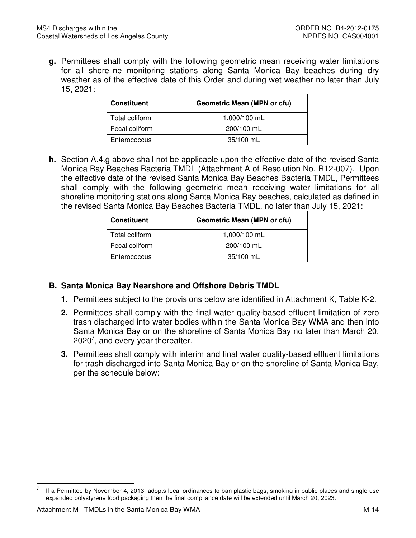**g.** Permittees shall comply with the following geometric mean receiving water limitations for all shoreline monitoring stations along Santa Monica Bay beaches during dry weather as of the effective date of this Order and during wet weather no later than July 15, 2021:

| <b>Constituent</b> | <b>Geometric Mean (MPN or cfu)</b> |
|--------------------|------------------------------------|
| Total coliform     | 1,000/100 mL                       |
| Fecal coliform     | 200/100 mL                         |
| Enterococcus       | $35/100$ mL                        |

 **h.** Section A.4.g above shall not be applicable upon the effective date of the revised Santa Monica Bay Beaches Bacteria TMDL (Attachment A of Resolution No. R12-007). Upon the effective date of the revised Santa Monica Bay Beaches Bacteria TMDL, Permittees shall comply with the following geometric mean receiving water limitations for all shoreline monitoring stations along Santa Monica Bay beaches, calculated as defined in the revised Santa Monica Bay Beaches Bacteria TMDL, no later than July 15, 2021:

| l Constituent  | <b>Geometric Mean (MPN or cfu)</b> |
|----------------|------------------------------------|
| Total coliform | 1,000/100 mL                       |
| Fecal coliform | 200/100 mL                         |
| Enterococcus   | 35/100 mL                          |

## **B. Santa Monica Bay Nearshore and Offshore Debris TMDL**

- **1.** Permittees subject to the provisions below are identified in Attachment K, Table K-2.
- **2.** Permittees shall comply with the final water quality-based effluent limitation of zero trash discharged into water bodies within the Santa Monica Bay WMA and then into Santa Monica Bay or on the shoreline of Santa Monica Bay no later than March 20, 2020<sup>7</sup>, and every year thereafter.
- **3.** Permittees shall comply with interim and final water quality-based effluent limitations for trash discharged into Santa Monica Bay or on the shoreline of Santa Monica Bay, per the schedule below:

 $\overline{\phantom{0}}$ 

 expanded polystyrene food packaging then the final compliance date will be extended until March 20, 2023. If a Permittee by November 4, 2013, adopts local ordinances to ban plastic bags, smoking in public places and single use  $\overline{7}$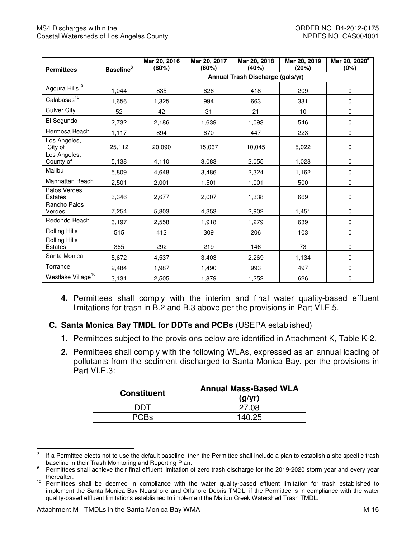| <b>Permittees</b>               | <b>Baseline</b> <sup>8</sup> | Mar 20, 2016<br>(80%) | Mar 20, 2017<br>(60%)            | Mar 20, 2018<br>(40%) | Mar 20, 2019<br>(20%) | Mar 20, 2020 <sup>9</sup><br>(0%) |  |  |
|---------------------------------|------------------------------|-----------------------|----------------------------------|-----------------------|-----------------------|-----------------------------------|--|--|
|                                 |                              |                       | Annual Trash Discharge (gals/yr) |                       |                       |                                   |  |  |
| Agoura Hills <sup>10</sup>      | 1,044                        | 835                   | 626                              | 418                   | 209                   | $\mathbf 0$                       |  |  |
| Calabasas <sup>10</sup>         | 1.656                        | 1,325                 | 994                              | 663                   | 331                   | $\mathbf 0$                       |  |  |
| <b>Culver City</b>              | 52                           | 42                    | 31                               | 21                    | 10                    | $\mathbf 0$                       |  |  |
| El Segundo                      | 2,732                        | 2,186                 | 1,639                            | 1,093                 | 546                   | $\mathbf 0$                       |  |  |
| Hermosa Beach                   | 1,117                        | 894                   | 670                              | 447                   | 223                   | $\mathbf 0$                       |  |  |
| Los Angeles,<br>City of         | 25,112                       | 20,090                | 15,067                           | 10,045                | 5,022                 | $\mathbf 0$                       |  |  |
| Los Angeles,<br>County of       | 5,138                        | 4,110                 | 3,083                            | 2,055                 | 1,028                 | $\mathbf 0$                       |  |  |
| Malibu                          | 5,809                        | 4,648                 | 3,486                            | 2,324                 | 1,162                 | $\mathbf 0$                       |  |  |
| Manhattan Beach                 | 2,501                        | 2,001                 | 1,501                            | 1,001                 | 500                   | $\mathbf 0$                       |  |  |
| Palos Verdes<br><b>Estates</b>  | 3,346                        | 2,677                 | 2,007                            | 1,338                 | 669                   | 0                                 |  |  |
| Rancho Palos<br>Verdes          | 7,254                        | 5,803                 | 4,353                            | 2,902                 | 1,451                 | $\mathbf 0$                       |  |  |
| Redondo Beach                   | 3,197                        | 2,558                 | 1,918                            | 1,279                 | 639                   | $\Omega$                          |  |  |
| Rolling Hills                   | 515                          | 412                   | 309                              | 206                   | 103                   | $\mathbf 0$                       |  |  |
| Rolling Hills<br><b>Estates</b> | 365                          | 292                   | 219                              | 146                   | 73                    | $\mathbf 0$                       |  |  |
| Santa Monica                    | 5,672                        | 4,537                 | 3,403                            | 2,269                 | 1,134                 | $\mathbf 0$                       |  |  |
| Torrance                        | 2,484                        | 1,987                 | 1,490                            | 993                   | 497                   | $\mathbf 0$                       |  |  |
| Westlake Village <sup>10</sup>  | 3,131                        | 2,505                 | 1,879                            | 1,252                 | 626                   | 0                                 |  |  |

 **4.** Permittees shall comply with the interim and final water quality-based effluent limitations for trash in B.2 and B.3 above per the provisions in Part VI.E.5.

# **C. Santa Monica Bay TMDL for DDTs and PCBs** (USEPA established)

- **1.** Permittees subject to the provisions below are identified in Attachment K, Table K-2.
- **2.** Permittees shall comply with the following WLAs, expressed as an annual loading of pollutants from the sediment discharged to Santa Monica Bay, per the provisions in Part VI.E.3:

| <b>Constituent</b> | <b>Annual Mass-Based WLA</b><br>(q/yr) |
|--------------------|----------------------------------------|
| דחח                | 27.08                                  |
|                    | 140.25                                 |

 $\mathbf{8}$  baseline in their Trash Monitoring and Reporting Plan. If a Permittee elects not to use the default baseline, then the Permittee shall include a plan to establish a site specific trash

<sup>&</sup>lt;sup>9</sup> Permittees shall achieve their final effluent limitation of zero trash discharge for the 2019-2020 storm year and every year thereafter.

<sup>&</sup>lt;sup>10</sup> Permittees shall be deemed in compliance with the water quality-based effluent limitation for trash established to implement the Santa Monica Bay Nearshore and Offshore Debris TMDL, if the Permittee is in compliance with the water quality-based effluent limitations established to implement the Malibu Creek Watershed Trash TMDL.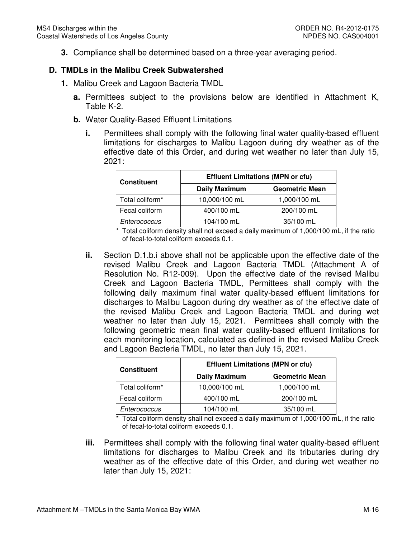**3.** Compliance shall be determined based on a three-year averaging period.

## **D. TMDLs in the Malibu Creek Subwatershed**

- **1.** Malibu Creek and Lagoon Bacteria TMDL
	- **a.** Permittees subject to the provisions below are identified in Attachment K, Table K-2.
	- **b.** Water Quality-Based Effluent Limitations
		- **i.** Permittees shall comply with the following final water quality-based effluent limitations for discharges to Malibu Lagoon during dry weather as of the effective date of this Order, and during wet weather no later than July 15, 2021:

| <b>Constituent</b> | <b>Effluent Limitations (MPN or cfu)</b> |                       |
|--------------------|------------------------------------------|-----------------------|
|                    | <b>Daily Maximum</b>                     | <b>Geometric Mean</b> |
| Total coliform*    | 10,000/100 mL                            | 1,000/100 mL          |
| Fecal coliform     | 400/100 mL                               | 200/100 mL            |
| Enterococcus       | 104/100 mL                               | 35/100 mL             |

 \* Total coliform density shall not exceed a daily maximum of 1,000/100 mL, if the ratio of fecal-to-total coliform exceeds 0.1.

 **ii.** Section D.1.b.i above shall not be applicable upon the effective date of the revised Malibu Creek and Lagoon Bacteria TMDL (Attachment A of Resolution No. R12-009). Upon the effective date of the revised Malibu Creek and Lagoon Bacteria TMDL, Permittees shall comply with the following daily maximum final water quality-based effluent limitations for discharges to Malibu Lagoon during dry weather as of the effective date of the revised Malibu Creek and Lagoon Bacteria TMDL and during wet weather no later than July 15, 2021. Permittees shall comply with the following geometric mean final water quality-based effluent limitations for each monitoring location, calculated as defined in the revised Malibu Creek and Lagoon Bacteria TMDL, no later than July 15, 2021.

| <b>Constituent</b> | <b>Effluent Limitations (MPN or cfu)</b> |                       |
|--------------------|------------------------------------------|-----------------------|
|                    | <b>Daily Maximum</b>                     | <b>Geometric Mean</b> |
| Total coliform*    | 10,000/100 mL                            | 1,000/100 mL          |
| Fecal coliform     | 400/100 mL                               | 200/100 mL            |
| Enterococcus       | 104/100 mL                               | 35/100 mL             |

 \* Total coliform density shall not exceed a daily maximum of 1,000/100 mL, if the ratio of fecal-to-total coliform exceeds 0.1.

 **iii.** Permittees shall comply with the following final water quality-based effluent limitations for discharges to Malibu Creek and its tributaries during dry weather as of the effective date of this Order, and during wet weather no later than July 15, 2021: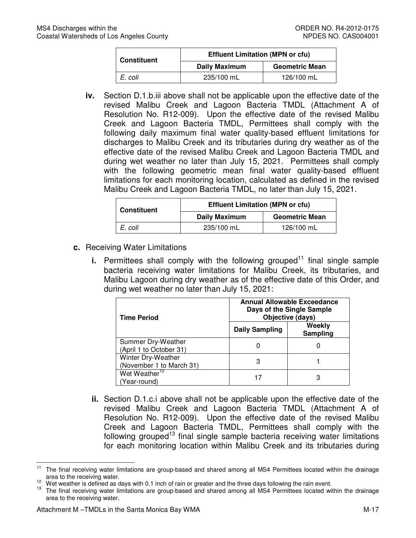| <b>Constituent</b> | <b>Effluent Limitation (MPN or cfu)</b> |                       |  |
|--------------------|-----------------------------------------|-----------------------|--|
|                    | <b>Daily Maximum</b>                    | <b>Geometric Mean</b> |  |
| E. coli            | 235/100 mL                              | 126/100 mL            |  |

 **iv.** Section D.1.b.iii above shall not be applicable upon the effective date of the revised Malibu Creek and Lagoon Bacteria TMDL (Attachment A of Resolution No. R12-009). Upon the effective date of the revised Malibu Creek and Lagoon Bacteria TMDL, Permittees shall comply with the following daily maximum final water quality-based effluent limitations for discharges to Malibu Creek and its tributaries during dry weather as of the effective date of the revised Malibu Creek and Lagoon Bacteria TMDL and during wet weather no later than July 15, 2021. Permittees shall comply with the following geometric mean final water quality-based effluent limitations for each monitoring location, calculated as defined in the revised Malibu Creek and Lagoon Bacteria TMDL, no later than July 15, 2021.

| <b>Constituent</b> | <b>Effluent Limitation (MPN or cfu)</b> |                       |  |
|--------------------|-----------------------------------------|-----------------------|--|
|                    | Daily Maximum                           | <b>Geometric Mean</b> |  |
| E. coli            | 235/100 mL                              | 126/100 mL            |  |

- **c.** Receiving Water Limitations
	- **i.** Permittees shall comply with the following grouped<sup>11</sup> final single sample bacteria receiving water limitations for Malibu Creek, its tributaries, and Malibu Lagoon during dry weather as of the effective date of this Order, and during wet weather no later than July 15, 2021:

| <b>Time Period</b>                             | <b>Annual Allowable Exceedance</b><br>Days of the Single Sample<br>Objective (days) |                    |  |  |
|------------------------------------------------|-------------------------------------------------------------------------------------|--------------------|--|--|
|                                                | <b>Daily Sampling</b>                                                               | Weekly<br>Sampling |  |  |
| Summer Dry-Weather<br>(April 1 to October 31)  |                                                                                     |                    |  |  |
| Winter Dry-Weather<br>(November 1 to March 31) | З                                                                                   |                    |  |  |
| Wet Weather <sup>12</sup><br>(Year-round)      |                                                                                     | З                  |  |  |

 **ii.** Section D.1.c.i above shall not be applicable upon the effective date of the revised Malibu Creek and Lagoon Bacteria TMDL (Attachment A of Resolution No. R12-009). Upon the effective date of the revised Malibu Creek and Lagoon Bacteria TMDL, Permittees shall comply with the following grouped<sup>13</sup> final single sample bacteria receiving water limitations for each monitoring location within Malibu Creek and its tributaries during

 $11$  area to the receiving water. The final receiving water limitations are group-based and shared among all MS4 Permittees located within the drainage

<sup>&</sup>lt;sup>12</sup> Wet weather is defined as days with 0.1 inch of rain or greater and the three days following the rain event.

 area to the receiving water. The final receiving water limitations are group-based and shared among all MS4 Permittees located within the drainage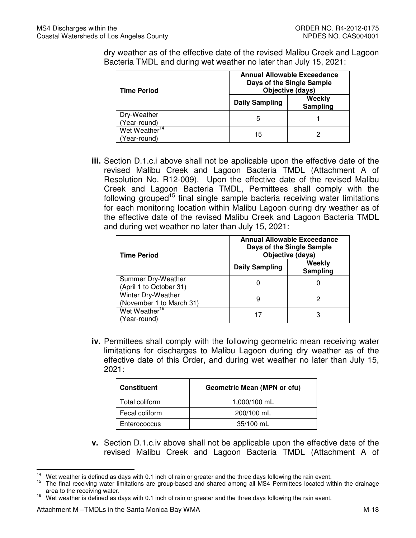dry weather as of the effective date of the revised Malibu Creek and Lagoon Bacteria TMDL and during wet weather no later than July 15, 2021:

| <b>Time Period</b>                        | <b>Annual Allowable Exceedance</b><br>Days of the Single Sample<br>Objective (days) |                    |  |
|-------------------------------------------|-------------------------------------------------------------------------------------|--------------------|--|
|                                           | <b>Daily Sampling</b>                                                               | Weekly<br>Sampling |  |
| Dry-Weather<br>(Year-round)               | 5                                                                                   |                    |  |
| Wet Weather <sup>14</sup><br>(Year-round) | 15                                                                                  |                    |  |

 **iii.** Section D.1.c.i above shall not be applicable upon the effective date of the revised Malibu Creek and Lagoon Bacteria TMDL (Attachment A of Resolution No. R12-009). Upon the effective date of the revised Malibu Creek and Lagoon Bacteria TMDL, Permittees shall comply with the following grouped<sup>15</sup> final single sample bacteria receiving water limitations for each monitoring location within Malibu Lagoon during dry weather as of the effective date of the revised Malibu Creek and Lagoon Bacteria TMDL and during wet weather no later than July 15, 2021:

| <b>Time Period</b>                             | <b>Annual Allowable Exceedance</b><br>Days of the Single Sample<br>Objective (days) |                    |  |  |
|------------------------------------------------|-------------------------------------------------------------------------------------|--------------------|--|--|
|                                                | <b>Daily Sampling</b>                                                               | Weekly<br>Sampling |  |  |
| Summer Dry-Weather<br>(April 1 to October 31)  |                                                                                     |                    |  |  |
| Winter Dry-Weather<br>(November 1 to March 31) | 9                                                                                   |                    |  |  |
| Wet Weather <sup>16</sup><br>(Year-round)      |                                                                                     | З                  |  |  |

 **iv.** Permittees shall comply with the following geometric mean receiving water limitations for discharges to Malibu Lagoon during dry weather as of the effective date of this Order, and during wet weather no later than July 15, 2021:

| <b>Constituent</b> | <b>Geometric Mean (MPN or cfu)</b> |  |  |
|--------------------|------------------------------------|--|--|
| Total coliform     | 1,000/100 mL                       |  |  |
| Fecal coliform     | 200/100 mL                         |  |  |
| Enterococcus       | 35/100 mL                          |  |  |

 **v.** Section D.1.c.iv above shall not be applicable upon the effective date of the revised Malibu Creek and Lagoon Bacteria TMDL (Attachment A of

 $\overline{\phantom{0}}$ 

<sup>&</sup>lt;sup>14</sup> Wet weather is defined as days with 0.1 inch of rain or greater and the three days following the rain event.<br><sup>15</sup> The first greating water limitations are greater heard and shared greater all MO4. Demaits as lasted w

 area to the receiving water. 15 The final receiving water limitations are group-based and shared among all MS4 Permittees located within the drainage

<sup>&</sup>lt;sup>16</sup> Wet weather is defined as days with 0.1 inch of rain or greater and the three days following the rain event.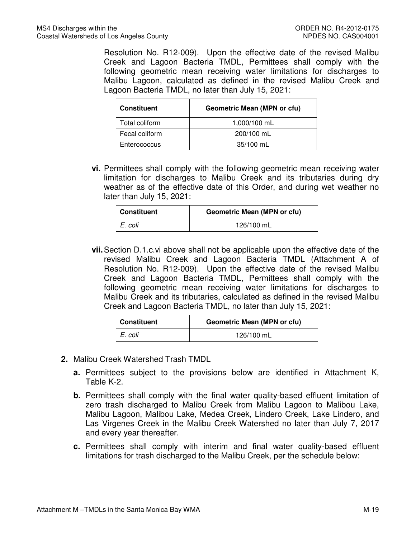Resolution No. R12-009). Upon the effective date of the revised Malibu Creek and Lagoon Bacteria TMDL, Permittees shall comply with the following geometric mean receiving water limitations for discharges to Malibu Lagoon, calculated as defined in the revised Malibu Creek and Lagoon Bacteria TMDL, no later than July 15, 2021:

| <b>Constituent</b> | <b>Geometric Mean (MPN or cfu)</b> |  |
|--------------------|------------------------------------|--|
| Total coliform     | 1,000/100 mL                       |  |
| Fecal coliform     | 200/100 mL                         |  |
| Enterococcus       | 35/100 mL                          |  |

 **vi.** Permittees shall comply with the following geometric mean receiving water limitation for discharges to Malibu Creek and its tributaries during dry weather as of the effective date of this Order, and during wet weather no later than July 15, 2021:

| Constituent | <b>Geometric Mean (MPN or cfu)</b> |  |  |
|-------------|------------------------------------|--|--|
| E. coli     | 126/100 mL                         |  |  |

 **vii.**Section D.1.c.vi above shall not be applicable upon the effective date of the revised Malibu Creek and Lagoon Bacteria TMDL (Attachment A of Resolution No. R12-009). Upon the effective date of the revised Malibu Creek and Lagoon Bacteria TMDL, Permittees shall comply with the following geometric mean receiving water limitations for discharges to Malibu Creek and its tributaries, calculated as defined in the revised Malibu Creek and Lagoon Bacteria TMDL, no later than July 15, 2021:

| Constituent | <b>Geometric Mean (MPN or cfu)</b> |  |  |
|-------------|------------------------------------|--|--|
| E. coli     | 126/100 mL                         |  |  |

- **2.** Malibu Creek Watershed Trash TMDL
	- **a.** Permittees subject to the provisions below are identified in Attachment K, Table K-2.
	- **b.** Permittees shall comply with the final water quality-based effluent limitation of zero trash discharged to Malibu Creek from Malibu Lagoon to Malibou Lake, Malibu Lagoon, Malibou Lake, Medea Creek, Lindero Creek, Lake Lindero, and Las Virgenes Creek in the Malibu Creek Watershed no later than July 7, 2017 and every year thereafter.
	- **c.** Permittees shall comply with interim and final water quality-based effluent limitations for trash discharged to the Malibu Creek, per the schedule below: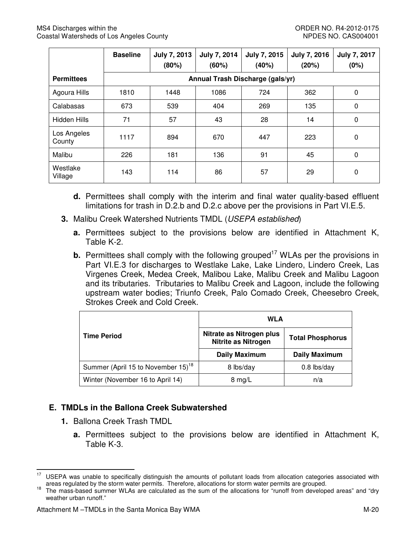|                       | <b>Baseline</b> | <b>July 7, 2013</b><br>(80%) | July 7, 2014<br>(60%)            | <b>July 7, 2015</b><br>(40%) | <b>July 7, 2016</b><br>(20%) | <b>July 7, 2017</b><br>(0%) |
|-----------------------|-----------------|------------------------------|----------------------------------|------------------------------|------------------------------|-----------------------------|
| <b>Permittees</b>     |                 |                              | Annual Trash Discharge (gals/yr) |                              |                              |                             |
| Agoura Hills          | 1810            | 1448                         | 1086                             | 724                          | 362                          | 0                           |
| Calabasas             | 673             | 539                          | 404                              | 269                          | 135                          | $\mathbf 0$                 |
| Hidden Hills          | 71              | 57                           | 43                               | 28                           | 14                           | 0                           |
| Los Angeles<br>County | 1117            | 894                          | 670                              | 447                          | 223                          | $\mathbf 0$                 |
| Malibu                | 226             | 181                          | 136                              | 91                           | 45                           | $\Omega$                    |
| Westlake<br>Village   | 143             | 114                          | 86                               | 57                           | 29                           | 0                           |

- **d.** Permittees shall comply with the interim and final water quality-based effluent limitations for trash in D.2.b and D.2.c above per the provisions in Part VI.E.5.
- **3.** Malibu Creek Watershed Nutrients TMDL (USEPA established)
	- **a.** Permittees subject to the provisions below are identified in Attachment K, Table K-2.
	- **b.** Permittees shall comply with the following grouped<sup>17</sup> WLAs per the provisions in Part VI.E.3 for discharges to Westlake Lake, Lake Lindero, Lindero Creek, Las Virgenes Creek, Medea Creek, Malibou Lake, Malibu Creek and Malibu Lagoon and its tributaries. Tributaries to Malibu Creek and Lagoon, include the following upstream water bodies; Triunfo Creek, Palo Comado Creek, Cheesebro Creek, Strokes Creek and Cold Creek.

|                                                | <b>WLA</b>                                             |                         |  |
|------------------------------------------------|--------------------------------------------------------|-------------------------|--|
| <b>Time Period</b>                             | Nitrate as Nitrogen plus<br><b>Nitrite as Nitrogen</b> | <b>Total Phosphorus</b> |  |
|                                                | <b>Daily Maximum</b>                                   | <b>Daily Maximum</b>    |  |
| Summer (April 15 to November 15) <sup>18</sup> | 8 lbs/day                                              | $0.8$ lbs/day           |  |
| Winter (November 16 to April 14)               | $8 \text{ mg/L}$                                       | n/a                     |  |

# **E. TMDLs in the Ballona Creek Subwatershed**

**1.** Ballona Creek Trash TMDL

 $\overline{\phantom{0}}$ 

 **a.** Permittees subject to the provisions below are identified in Attachment K, Table K-3.

 areas regulated by the storm water permits. Therefore, allocations for storm water permits are grouped. <sup>17</sup> USEPA was unable to specifically distinguish the amounts of pollutant loads from allocation categories associated with

 weather urban runoff." <sup>18</sup> The mass-based summer WLAs are calculated as the sum of the allocations for "runoff from developed areas" and "dry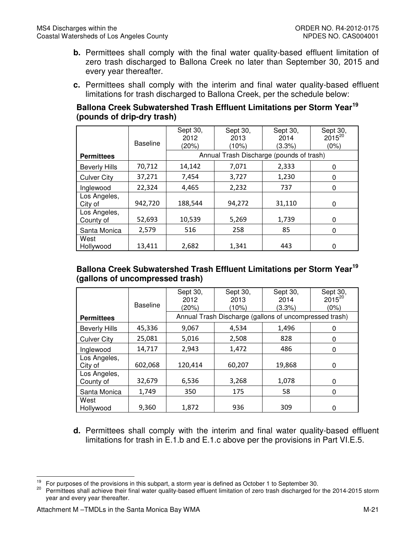- **b.** Permittees shall comply with the final water quality-based effluent limitation of zero trash discharged to Ballona Creek no later than September 30, 2015 and every year thereafter.
- **c.** Permittees shall comply with the interim and final water quality-based effluent limitations for trash discharged to Ballona Creek, per the schedule below:

## **Ballona Creek Subwatershed Trash Effluent Limitations per Storm Year<sup>19</sup> (pounds of drip-dry trash)**

|                           | <b>Baseline</b> | Sept 30,<br>2012<br>(20%) | Sept 30,<br>2013<br>(10%)                | Sept 30,<br>2014<br>(3.3%) | Sept 30,<br>$2015^{20}$<br>(0%) |
|---------------------------|-----------------|---------------------------|------------------------------------------|----------------------------|---------------------------------|
| <b>Permittees</b>         |                 |                           | Annual Trash Discharge (pounds of trash) |                            |                                 |
| <b>Beverly Hills</b>      | 70,712          | 14,142                    | 7,071                                    | 2,333                      | 0                               |
| <b>Culver City</b>        | 37,271          | 7,454                     | 3,727                                    | 1,230                      | 0                               |
| Inglewood                 | 22,324          | 4,465                     | 2,232                                    | 737                        | 0                               |
| Los Angeles,<br>City of   | 942,720         | 188,544                   | 94,272                                   | 31,110                     | 0                               |
| Los Angeles,<br>County of | 52,693          | 10,539                    | 5,269                                    | 1,739                      | $\Omega$                        |
| Santa Monica              | 2,579           | 516                       | 258                                      | 85                         | 0                               |
| West<br>Hollywood         | 13,411          | 2,682                     | 1,341                                    | 443                        | 0                               |

## **Ballona Creek Subwatershed Trash Effluent Limitations per Storm Year<sup>19</sup> (gallons of uncompressed trash)**

|                           | <b>Baseline</b> | Sept 30,<br>2012<br>(20%) | Sept 30,<br>2013<br>(10%)                              | Sept 30,<br>2014<br>(3.3%) | Sept 30,<br>$2015^{20}$<br>$(0\%)$ |
|---------------------------|-----------------|---------------------------|--------------------------------------------------------|----------------------------|------------------------------------|
| <b>Permittees</b>         |                 |                           | Annual Trash Discharge (gallons of uncompressed trash) |                            |                                    |
| <b>Beverly Hills</b>      | 45,336          | 9,067                     | 4,534                                                  | 1,496                      | 0                                  |
| <b>Culver City</b>        | 25,081          | 5,016                     | 2,508                                                  | 828                        | 0                                  |
| Inglewood                 | 14,717          | 2,943                     | 1,472                                                  | 486                        | 0                                  |
| Los Angeles,<br>City of   | 602,068         | 120,414                   | 60,207                                                 | 19,868                     | 0                                  |
| Los Angeles,<br>County of | 32,679          | 6,536                     | 3,268                                                  | 1,078                      | 0                                  |
| Santa Monica              | 1,749           | 350                       | 175                                                    | 58                         | 0                                  |
| West<br>Hollywood         | 9,360           | 1,872                     | 936                                                    | 309                        | 0                                  |

 **d.** Permittees shall comply with the interim and final water quality-based effluent limitations for trash in E.1.b and E.1.c above per the provisions in Part VI.E.5.

l

<sup>&</sup>lt;sup>19</sup> For purposes of the provisions in this subpart, a storm year is defined as October 1 to September 30.<br><sup>20</sup> Permittees abell schieve their final water muslity begad affluent limitation of next track discharged for

<sup>&</sup>lt;sup>20</sup> Permittees shall achieve their final water quality-based effluent limitation of zero trash discharged for the 2014-2015 storm year and every year thereafter.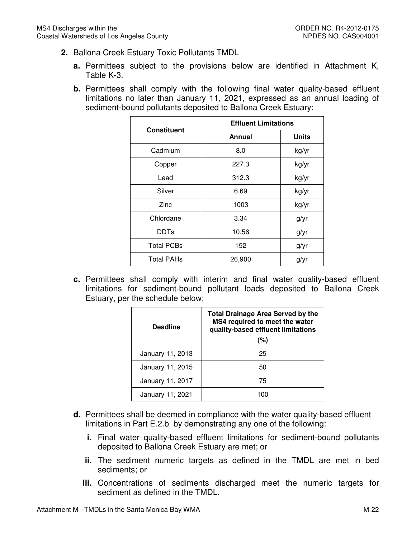- **2.** Ballona Creek Estuary Toxic Pollutants TMDL
	- **a.** Permittees subject to the provisions below are identified in Attachment K, Table K-3.
	- **b.** Permittees shall comply with the following final water quality-based effluent limitations no later than January 11, 2021, expressed as an annual loading of sediment-bound pollutants deposited to Ballona Creek Estuary:

| <b>Constituent</b> | <b>Effluent Limitations</b> |              |  |
|--------------------|-----------------------------|--------------|--|
|                    | Annual                      | <b>Units</b> |  |
| Cadmium            | 8.0                         | kg/yr        |  |
| Copper             | 227.3                       | kg/yr        |  |
| Lead               | 312.3                       | kg/yr        |  |
| Silver             | 6.69                        | kg/yr        |  |
| Zinc               | 1003                        | kg/yr        |  |
| Chlordane          | 3.34                        | g/yr         |  |
| <b>DDTs</b>        | 10.56                       | g/yr         |  |
| <b>Total PCBs</b>  | 152                         | g/yr         |  |
| <b>Total PAHs</b>  | 26,900                      | g/yr         |  |

 **c.** Permittees shall comply with interim and final water quality-based effluent limitations for sediment-bound pollutant loads deposited to Ballona Creek Estuary, per the schedule below:

| <b>Deadline</b>  | <b>Total Drainage Area Served by the</b><br>MS4 required to meet the water<br>quality-based effluent limitations<br>(%) |  |
|------------------|-------------------------------------------------------------------------------------------------------------------------|--|
| January 11, 2013 | 25                                                                                                                      |  |
| January 11, 2015 | 50                                                                                                                      |  |
| January 11, 2017 | 75                                                                                                                      |  |
| January 11, 2021 |                                                                                                                         |  |

- **d.** Permittees shall be deemed in compliance with the water quality-based effluent limitations in Part E.2.b by demonstrating any one of the following:
	- **i.** Final water quality-based effluent limitations for sediment-bound pollutants deposited to Ballona Creek Estuary are met; or
	- **ii.** The sediment numeric targets as defined in the TMDL are met in bed sediments; or
	- **iii.** Concentrations of sediments discharged meet the numeric targets for sediment as defined in the TMDL.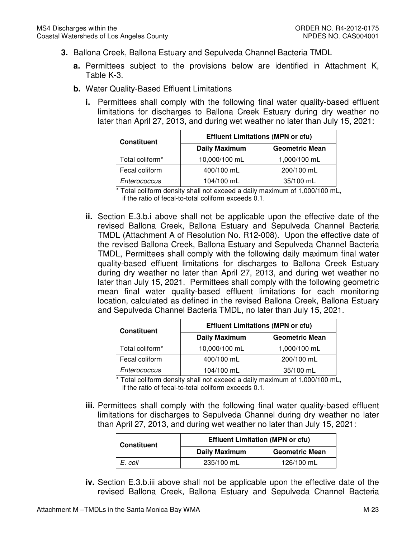- **3.** Ballona Creek, Ballona Estuary and Sepulveda Channel Bacteria TMDL
	- **a.** Permittees subject to the provisions below are identified in Attachment K, Table K-3.
	- **b.** Water Quality-Based Effluent Limitations
		- **i.** Permittees shall comply with the following final water quality-based effluent limitations for discharges to Ballona Creek Estuary during dry weather no later than April 27, 2013, and during wet weather no later than July 15, 2021:

| <b>Constituent</b>          | <b>Effluent Limitations (MPN or cfu)</b> |                       |  |
|-----------------------------|------------------------------------------|-----------------------|--|
|                             | <b>Daily Maximum</b>                     | <b>Geometric Mean</b> |  |
| Total coliform <sup>*</sup> | 10,000/100 mL                            | 1,000/100 mL          |  |
| Fecal coliform              | 400/100 mL                               | 200/100 mL            |  |
| Enterococcus                | 104/100 mL                               | 35/100 mL             |  |

 \* Total coliform density shall not exceed a daily maximum of 1,000/100 mL, if the ratio of fecal-to-total coliform exceeds 0.1.

 **ii.** Section E.3.b.i above shall not be applicable upon the effective date of the revised Ballona Creek, Ballona Estuary and Sepulveda Channel Bacteria TMDL (Attachment A of Resolution No. R12-008). Upon the effective date of the revised Ballona Creek, Ballona Estuary and Sepulveda Channel Bacteria TMDL, Permittees shall comply with the following daily maximum final water quality-based effluent limitations for discharges to Ballona Creek Estuary during dry weather no later than April 27, 2013, and during wet weather no later than July 15, 2021. Permittees shall comply with the following geometric mean final water quality-based effluent limitations for each monitoring location, calculated as defined in the revised Ballona Creek, Ballona Estuary and Sepulveda Channel Bacteria TMDL, no later than July 15, 2021.

| <b>Constituent</b>          | <b>Effluent Limitations (MPN or cfu)</b> |                       |  |
|-----------------------------|------------------------------------------|-----------------------|--|
|                             | <b>Daily Maximum</b>                     | <b>Geometric Mean</b> |  |
| Total coliform <sup>*</sup> | 10,000/100 mL                            | 1,000/100 mL          |  |
| Fecal coliform              | 400/100 mL                               | 200/100 mL            |  |
| Enterococcus                | 104/100 mL                               | 35/100 mL             |  |

 \* Total coliform density shall not exceed a daily maximum of 1,000/100 mL, if the ratio of fecal-to-total coliform exceeds 0.1.

 **iii.** Permittees shall comply with the following final water quality-based effluent limitations for discharges to Sepulveda Channel during dry weather no later than April 27, 2013, and during wet weather no later than July 15, 2021:

| <b>Constituent</b> | <b>Effluent Limitation (MPN or cfu)</b> |                       |  |
|--------------------|-----------------------------------------|-----------------------|--|
|                    | <b>Daily Maximum</b>                    | <b>Geometric Mean</b> |  |
| E. coli            | 235/100 mL                              | 126/100 mL            |  |

 **iv.** Section E.3.b.iii above shall not be applicable upon the effective date of the revised Ballona Creek, Ballona Estuary and Sepulveda Channel Bacteria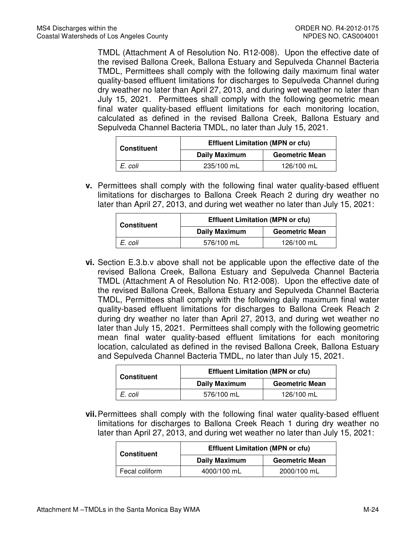TMDL (Attachment A of Resolution No. R12-008). Upon the effective date of the revised Ballona Creek, Ballona Estuary and Sepulveda Channel Bacteria TMDL, Permittees shall comply with the following daily maximum final water quality-based effluent limitations for discharges to Sepulveda Channel during dry weather no later than April 27, 2013, and during wet weather no later than July 15, 2021. Permittees shall comply with the following geometric mean final water quality-based effluent limitations for each monitoring location, calculated as defined in the revised Ballona Creek, Ballona Estuary and Sepulveda Channel Bacteria TMDL, no later than July 15, 2021.

| <b>Constituent</b> | <b>Effluent Limitation (MPN or cfu)</b> |                       |  |
|--------------------|-----------------------------------------|-----------------------|--|
|                    | <b>Daily Maximum</b>                    | <b>Geometric Mean</b> |  |
| E. coli            | 235/100 mL                              | 126/100 mL            |  |

 **v.** Permittees shall comply with the following final water quality-based effluent limitations for discharges to Ballona Creek Reach 2 during dry weather no later than April 27, 2013, and during wet weather no later than July 15, 2021:

| <b>Constituent</b> | <b>Effluent Limitation (MPN or cfu)</b> |                       |  |
|--------------------|-----------------------------------------|-----------------------|--|
|                    | <b>Daily Maximum</b>                    | <b>Geometric Mean</b> |  |
| E. coli            | 576/100 mL                              | 126/100 mL            |  |

 **vi.** Section E.3.b.v above shall not be applicable upon the effective date of the revised Ballona Creek, Ballona Estuary and Sepulveda Channel Bacteria TMDL (Attachment A of Resolution No. R12-008). Upon the effective date of the revised Ballona Creek, Ballona Estuary and Sepulveda Channel Bacteria TMDL, Permittees shall comply with the following daily maximum final water quality-based effluent limitations for discharges to Ballona Creek Reach 2 during dry weather no later than April 27, 2013, and during wet weather no later than July 15, 2021. Permittees shall comply with the following geometric mean final water quality-based effluent limitations for each monitoring location, calculated as defined in the revised Ballona Creek, Ballona Estuary and Sepulveda Channel Bacteria TMDL, no later than July 15, 2021.

| <b>Constituent</b> | <b>Effluent Limitation (MPN or cfu)</b> |                       |  |
|--------------------|-----------------------------------------|-----------------------|--|
|                    | <b>Daily Maximum</b>                    | <b>Geometric Mean</b> |  |
| E. coli            | 576/100 mL                              | 126/100 mL            |  |

 **vii.**Permittees shall comply with the following final water quality-based effluent limitations for discharges to Ballona Creek Reach 1 during dry weather no later than April 27, 2013, and during wet weather no later than July 15, 2021:

| <b>Constituent</b> | <b>Effluent Limitation (MPN or cfu)</b> |                       |  |
|--------------------|-----------------------------------------|-----------------------|--|
|                    | <b>Daily Maximum</b>                    | <b>Geometric Mean</b> |  |
| Fecal coliform     | 4000/100 mL                             | 2000/100 mL           |  |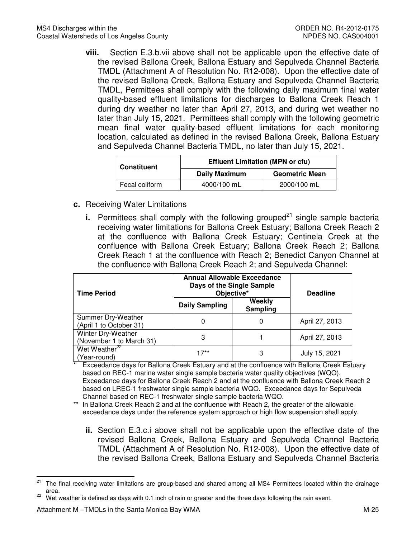**viii.** Section E.3.b.vii above shall not be applicable upon the effective date of the revised Ballona Creek, Ballona Estuary and Sepulveda Channel Bacteria TMDL (Attachment A of Resolution No. R12-008). Upon the effective date of the revised Ballona Creek, Ballona Estuary and Sepulveda Channel Bacteria TMDL, Permittees shall comply with the following daily maximum final water quality-based effluent limitations for discharges to Ballona Creek Reach 1 during dry weather no later than April 27, 2013, and during wet weather no later than July 15, 2021. Permittees shall comply with the following geometric mean final water quality-based effluent limitations for each monitoring location, calculated as defined in the revised Ballona Creek, Ballona Estuary and Sepulveda Channel Bacteria TMDL, no later than July 15, 2021.

| <b>Constituent</b> | <b>Effluent Limitation (MPN or cfu)</b> |                       |  |
|--------------------|-----------------------------------------|-----------------------|--|
|                    | <b>Daily Maximum</b>                    | <b>Geometric Mean</b> |  |
| Fecal coliform     | 4000/100 mL                             | 2000/100 mL           |  |

- **c.** Receiving Water Limitations
	- **i.** Permittees shall comply with the following grouped<sup>21</sup> single sample bacteria receiving water limitations for Ballona Creek Estuary; Ballona Creek Reach 2 at the confluence with Ballona Creek Estuary; Centinela Creek at the confluence with Ballona Creek Estuary; Ballona Creek Reach 2; Ballona Creek Reach 1 at the confluence with Reach 2; Benedict Canyon Channel at the confluence with Ballona Creek Reach 2; and Sepulveda Channel:

| <b>Time Period</b>                             | <b>Annual Allowable Exceedance</b><br>Days of the Single Sample<br>Objective* |                    | <b>Deadline</b> |
|------------------------------------------------|-------------------------------------------------------------------------------|--------------------|-----------------|
|                                                | <b>Daily Sampling</b>                                                         | Weekly<br>Sampling |                 |
| Summer Dry-Weather<br>(April 1 to October 31)  | 0                                                                             | 0                  | April 27, 2013  |
| Winter Dry-Weather<br>(November 1 to March 31) | 3                                                                             |                    | April 27, 2013  |
| Wet Weather <sup>22</sup><br>(Year-round)      | $17**$                                                                        | 3                  | July 15, 2021   |

 \* Exceedance days for Ballona Creek Estuary and at the confluence with Ballona Creek Estuary based on REC-1 marine water single sample bacteria water quality objectives (WQO). Exceedance days for Ballona Creek Reach 2 and at the confluence with Ballona Creek Reach 2 based on LREC-1 freshwater single sample bacteria WQO. Exceedance days for Sepulveda Channel based on REC-1 freshwater single sample bacteria WQO.

 \*\* In Ballona Creek Reach 2 and at the confluence with Reach 2, the greater of the allowable exceedance days under the reference system approach or high flow suspension shall apply.

 **ii.** Section E.3.c.i above shall not be applicable upon the effective date of the revised Ballona Creek, Ballona Estuary and Sepulveda Channel Bacteria TMDL (Attachment A of Resolution No. R12-008). Upon the effective date of the revised Ballona Creek, Ballona Estuary and Sepulveda Channel Bacteria

 $21$ The final receiving water limitations are group-based and shared among all MS4 Permittees located within the drainage area.

<sup>&</sup>lt;sup>22</sup> Wet weather is defined as days with 0.1 inch of rain or greater and the three days following the rain event.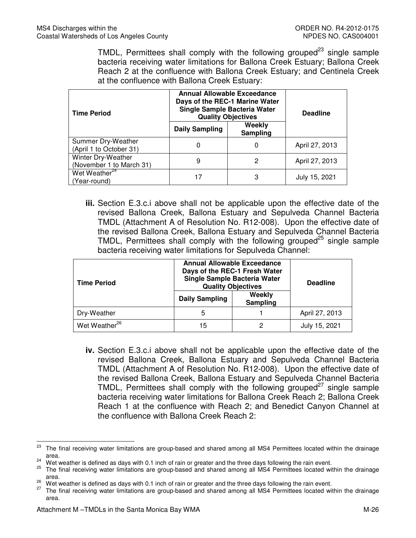TMDL, Permittees shall comply with the following grouped $^{23}$  single sample bacteria receiving water limitations for Ballona Creek Estuary; Ballona Creek Reach 2 at the confluence with Ballona Creek Estuary; and Centinela Creek at the confluence with Ballona Creek Estuary:

| <b>Time Period</b>                             | <b>Annual Allowable Exceedance</b><br>Days of the REC-1 Marine Water<br>Single Sample Bacteria Water<br><b>Quality Objectives</b> |                    | <b>Deadline</b> |
|------------------------------------------------|-----------------------------------------------------------------------------------------------------------------------------------|--------------------|-----------------|
|                                                | <b>Daily Sampling</b>                                                                                                             | Weekly<br>Sampling |                 |
| Summer Dry-Weather<br>(April 1 to October 31)  | 0                                                                                                                                 | 0                  | April 27, 2013  |
| Winter Dry-Weather<br>(November 1 to March 31) | 9                                                                                                                                 | 2                  | April 27, 2013  |
| Wet Weather <sup>24</sup><br>(Year-round)      | 17                                                                                                                                | 3                  | July 15, 2021   |

 **iii.** Section E.3.c.i above shall not be applicable upon the effective date of the revised Ballona Creek, Ballona Estuary and Sepulveda Channel Bacteria TMDL (Attachment A of Resolution No. R12-008). Upon the effective date of the revised Ballona Creek, Ballona Estuary and Sepulveda Channel Bacteria TMDL, Permittees shall comply with the following grouped<sup>25</sup> single sample bacteria receiving water limitations for Sepulveda Channel:

| <b>Time Period</b>        | <b>Annual Allowable Exceedance</b><br>Days of the REC-1 Fresh Water<br>Single Sample Bacteria Water<br><b>Quality Objectives</b> |                    | <b>Deadline</b> |
|---------------------------|----------------------------------------------------------------------------------------------------------------------------------|--------------------|-----------------|
|                           | <b>Daily Sampling</b>                                                                                                            | Weekly<br>Sampling |                 |
| Dry-Weather               | 5                                                                                                                                |                    | April 27, 2013  |
| Wet Weather <sup>26</sup> | 15                                                                                                                               |                    | July 15, 2021   |

 **iv.** Section E.3.c.i above shall not be applicable upon the effective date of the revised Ballona Creek, Ballona Estuary and Sepulveda Channel Bacteria TMDL (Attachment A of Resolution No. R12-008). Upon the effective date of the revised Ballona Creek, Ballona Estuary and Sepulveda Channel Bacteria TMDL, Permittees shall comply with the following grouped $27$  single sample bacteria receiving water limitations for Ballona Creek Reach 2; Ballona Creek Reach 1 at the confluence with Reach 2; and Benedict Canyon Channel at the confluence with Ballona Creek Reach 2:

l

<sup>&</sup>lt;sup>23</sup> The final receiving water limitations are group-based and shared among all MS4 Permittees located within the drainage area.

<sup>&</sup>lt;sup>24</sup> Wet weather is defined as days with 0.1 inch of rain or greater and the three days following the rain event.

<sup>25</sup> The final receiving water limitations are group-based and shared among all MS4 Permittees located within the drainage area.

<sup>&</sup>lt;sup>26</sup> Wet weather is defined as days with 0.1 inch of rain or greater and the three days following the rain event.<br><sup>27</sup> The first resolving water limitations are group beased and shared appears all MCA Darmittee lasted wit

The final receiving water limitations are group-based and shared among all MS4 Permittees located within the drainage area.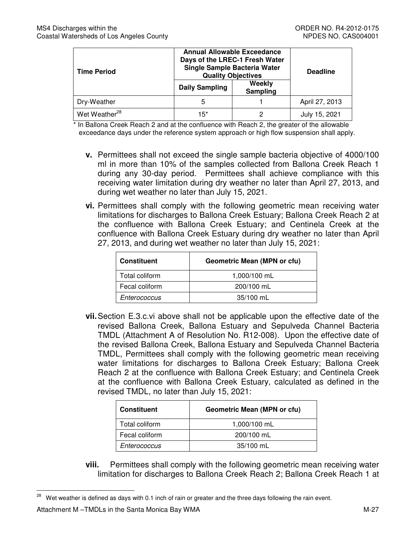| <b>Time Period</b>        | <b>Annual Allowable Exceedance</b><br>Days of the LREC-1 Fresh Water<br>Single Sample Bacteria Water<br><b>Quality Objectives</b><br>Weekly<br>Daily Sampling<br><b>Sampling</b> |  | <b>Deadline</b> |
|---------------------------|----------------------------------------------------------------------------------------------------------------------------------------------------------------------------------|--|-----------------|
|                           |                                                                                                                                                                                  |  |                 |
| Dry-Weather               | 5                                                                                                                                                                                |  | April 27, 2013  |
| Wet Weather <sup>28</sup> | 15*                                                                                                                                                                              |  | July 15, 2021   |

 \* In Ballona Creek Reach 2 and at the confluence with Reach 2, the greater of the allowable exceedance days under the reference system approach or high flow suspension shall apply.

- **v.** Permittees shall not exceed the single sample bacteria objective of 4000/100 ml in more than 10% of the samples collected from Ballona Creek Reach 1 during any 30-day period. Permittees shall achieve compliance with this receiving water limitation during dry weather no later than April 27, 2013, and during wet weather no later than July 15, 2021.
- **vi.** Permittees shall comply with the following geometric mean receiving water limitations for discharges to Ballona Creek Estuary; Ballona Creek Reach 2 at the confluence with Ballona Creek Estuary; and Centinela Creek at the confluence with Ballona Creek Estuary during dry weather no later than April 27, 2013, and during wet weather no later than July 15, 2021:

| <b>Constituent</b> | Geometric Mean (MPN or cfu) |
|--------------------|-----------------------------|
| Total coliform     | 1,000/100 mL                |
| Fecal coliform     | 200/100 mL                  |
| Enterococcus       | 35/100 mL                   |

 **vii.**Section E.3.c.vi above shall not be applicable upon the effective date of the revised Ballona Creek, Ballona Estuary and Sepulveda Channel Bacteria TMDL (Attachment A of Resolution No. R12-008). Upon the effective date of the revised Ballona Creek, Ballona Estuary and Sepulveda Channel Bacteria TMDL, Permittees shall comply with the following geometric mean receiving water limitations for discharges to Ballona Creek Estuary; Ballona Creek Reach 2 at the confluence with Ballona Creek Estuary; and Centinela Creek at the confluence with Ballona Creek Estuary, calculated as defined in the revised TMDL, no later than July 15, 2021:

| <b>Constituent</b> | <b>Geometric Mean (MPN or cfu)</b> |
|--------------------|------------------------------------|
| Total coliform     | 1,000/100 mL                       |
| Fecal coliform     | 200/100 mL                         |
| Enterococcus       | 35/100 mL                          |

 **viii.** Permittees shall comply with the following geometric mean receiving water limitation for discharges to Ballona Creek Reach 2; Ballona Creek Reach 1 at

 $\overline{\phantom{0}}$ Wet weather is defined as days with 0.1 inch of rain or greater and the three days following the rain event.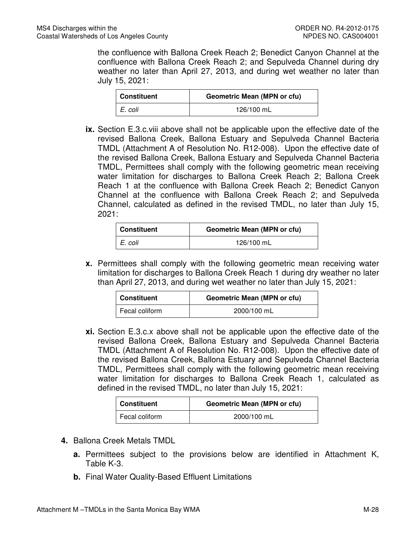the confluence with Ballona Creek Reach 2; Benedict Canyon Channel at the confluence with Ballona Creek Reach 2; and Sepulveda Channel during dry weather no later than April 27, 2013, and during wet weather no later than July 15, 2021:

| Constituent | <b>Geometric Mean (MPN or cfu)</b> |
|-------------|------------------------------------|
| E. coli     | 126/100 mL                         |

 **ix.** Section E.3.c.viii above shall not be applicable upon the effective date of the revised Ballona Creek, Ballona Estuary and Sepulveda Channel Bacteria TMDL (Attachment A of Resolution No. R12-008). Upon the effective date of the revised Ballona Creek, Ballona Estuary and Sepulveda Channel Bacteria TMDL, Permittees shall comply with the following geometric mean receiving water limitation for discharges to Ballona Creek Reach 2; Ballona Creek Reach 1 at the confluence with Ballona Creek Reach 2; Benedict Canyon Channel at the confluence with Ballona Creek Reach 2; and Sepulveda Channel, calculated as defined in the revised TMDL, no later than July 15, 2021:

| Constituent | <b>Geometric Mean (MPN or cfu)</b> |
|-------------|------------------------------------|
| I E. coli   | 126/100 mL                         |

 **x.** Permittees shall comply with the following geometric mean receiving water limitation for discharges to Ballona Creek Reach 1 during dry weather no later than April 27, 2013, and during wet weather no later than July 15, 2021:

| <b>Constituent</b> | Geometric Mean (MPN or cfu) |
|--------------------|-----------------------------|
| Fecal coliform     | 2000/100 mL                 |

 **xi.** Section E.3.c.x above shall not be applicable upon the effective date of the revised Ballona Creek, Ballona Estuary and Sepulveda Channel Bacteria TMDL (Attachment A of Resolution No. R12-008). Upon the effective date of the revised Ballona Creek, Ballona Estuary and Sepulveda Channel Bacteria TMDL, Permittees shall comply with the following geometric mean receiving water limitation for discharges to Ballona Creek Reach 1, calculated as defined in the revised TMDL, no later than July 15, 2021:

| Constituent      | <b>Geometric Mean (MPN or cfu)</b> |
|------------------|------------------------------------|
| I Fecal coliform | 2000/100 mL                        |

- **4.** Ballona Creek Metals TMDL
	- **a.** Permittees subject to the provisions below are identified in Attachment K, Table K-3.
	- **b.** Final Water Quality-Based Effluent Limitations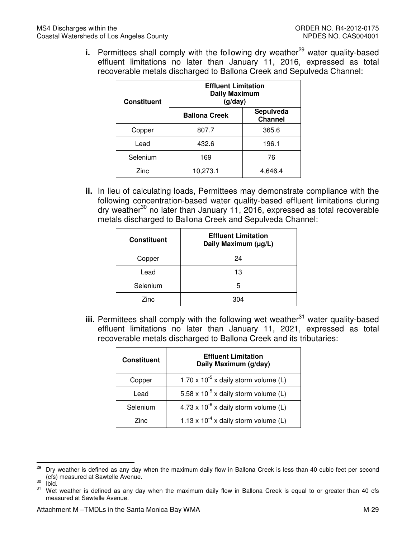**i.** Permittees shall comply with the following dry weather<sup>29</sup> water quality-based effluent limitations no later than January 11, 2016, expressed as total recoverable metals discharged to Ballona Creek and Sepulveda Channel:

| <b>Constituent</b> | <b>Effluent Limitation</b><br><b>Daily Maximum</b><br>(g/day) |                             |
|--------------------|---------------------------------------------------------------|-----------------------------|
|                    | <b>Ballona Creek</b>                                          | Sepulveda<br><b>Channel</b> |
| Copper             | 807.7                                                         | 365.6                       |
| Lead               | 432.6                                                         | 196.1                       |
| Selenium           | 169                                                           | 76                          |
| Zinc               | 10,273.1                                                      | 4,646.4                     |

 **ii.** In lieu of calculating loads, Permittees may demonstrate compliance with the following concentration-based water quality-based effluent limitations during dry weather<sup>30</sup> no later than January 11, 2016, expressed as total recoverable metals discharged to Ballona Creek and Sepulveda Channel:

| <b>Constituent</b> | <b>Effluent Limitation</b><br>Daily Maximum (µg/L) |
|--------------------|----------------------------------------------------|
| Copper             | 24                                                 |
| Lead               | 13                                                 |
| Selenium           | 5                                                  |
| Zinc               | 304                                                |

iii. Permittees shall comply with the following wet weather<sup>31</sup> water quality-based effluent limitations no later than January 11, 2021, expressed as total recoverable metals discharged to Ballona Creek and its tributaries:

| <b>Constituent</b> | <b>Effluent Limitation</b><br>Daily Maximum (g/day) |
|--------------------|-----------------------------------------------------|
| Copper             | 1.70 x $10^{-5}$ x daily storm volume (L)           |
| Lead               | 5.58 x $10^{-5}$ x daily storm volume (L)           |
| Selenium           | 4.73 x $10^{-6}$ x daily storm volume (L)           |
| Zinc.              | 1.13 x $10^{-4}$ x daily storm volume (L)           |

 $\frac{30}{31}$  Ibid.

<sup>29</sup>  (cfs) measured at Sawtelle Avenue. Dry weather is defined as any day when the maximum daily flow in Ballona Creek is less than 40 cubic feet per second

 measured at Sawtelle Avenue. Wet weather is defined as any day when the maximum daily flow in Ballona Creek is equal to or greater than 40 cfs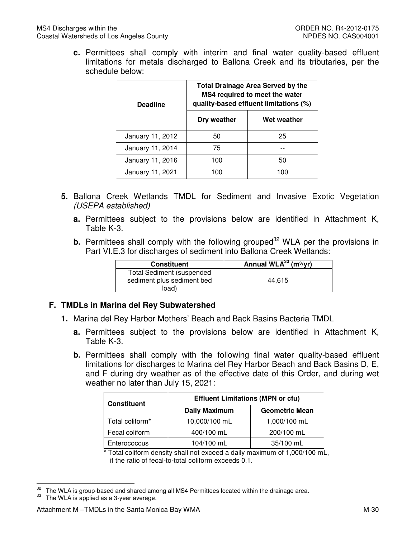**c.** Permittees shall comply with interim and final water quality-based effluent limitations for metals discharged to Ballona Creek and its tributaries, per the schedule below:

| <b>Deadline</b>  | <b>Total Drainage Area Served by the</b><br>MS4 required to meet the water<br>quality-based effluent limitations (%) |             |  |  |
|------------------|----------------------------------------------------------------------------------------------------------------------|-------------|--|--|
|                  | Dry weather                                                                                                          | Wet weather |  |  |
| January 11, 2012 | 50                                                                                                                   | 25          |  |  |
| January 11, 2014 | 75                                                                                                                   |             |  |  |
| January 11, 2016 | 100                                                                                                                  | 50          |  |  |
| January 11, 2021 | 100                                                                                                                  | 100         |  |  |

- **5.** Ballona Creek Wetlands TMDL for Sediment and Invasive Exotic Vegetation (USEPA established)
	- **a.** Permittees subject to the provisions below are identified in Attachment K, Table K-3.
	- **b.** Permittees shall comply with the following grouped<sup>32</sup> WLA per the provisions in Part VI.E.3 for discharges of sediment into Ballona Creek Wetlands:

| <b>Constituent</b>                                             | Annual WLA $^{33}$ (m <sup>3</sup> /yr) |
|----------------------------------------------------------------|-----------------------------------------|
| <b>Total Sediment (suspended</b><br>sediment plus sediment bed | 44.615                                  |
| load)                                                          |                                         |

## **F. TMDLs in Marina del Rey Subwatershed**

- **1.** Marina del Rey Harbor Mothers' Beach and Back Basins Bacteria TMDL
	- **a.** Permittees subject to the provisions below are identified in Attachment K, Table K-3.
	- **b.** Permittees shall comply with the following final water quality-based effluent limitations for discharges to Marina del Rey Harbor Beach and Back Basins D, E, and F during dry weather as of the effective date of this Order, and during wet weather no later than July 15, 2021:

| <b>Constituent</b> | <b>Effluent Limitations (MPN or cfu)</b> |                       |  |  |
|--------------------|------------------------------------------|-----------------------|--|--|
|                    | <b>Daily Maximum</b>                     | <b>Geometric Mean</b> |  |  |
| Total coliform*    | 10,000/100 mL                            | 1,000/100 mL          |  |  |
| Fecal coliform     | 400/100 mL                               | 200/100 mL            |  |  |
| Enterococcus       | 104/100 mL                               | 35/100 mL             |  |  |

 \* Total coliform density shall not exceed a daily maximum of 1,000/100 mL, if the ratio of fecal-to-total coliform exceeds 0.1.

 $\overline{\phantom{0}}$ 

<sup>&</sup>lt;sup>32</sup> The WLA is group-based and shared among all MS4 Permittees located within the drainage area.

The WLA is applied as a 3-year average.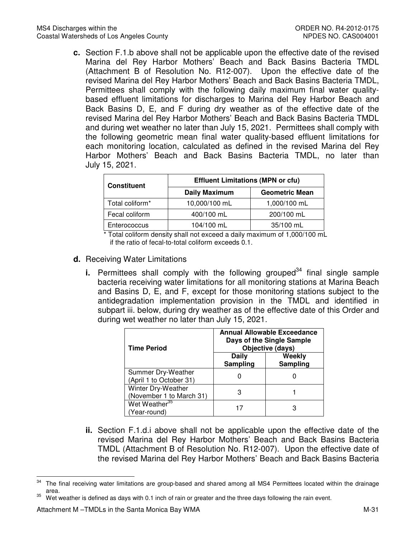**c.** Section F.1.b above shall not be applicable upon the effective date of the revised Marina del Rey Harbor Mothers' Beach and Back Basins Bacteria TMDL (Attachment B of Resolution No. R12-007). Upon the effective date of the revised Marina del Rey Harbor Mothers' Beach and Back Basins Bacteria TMDL, Permittees shall comply with the following daily maximum final water quality- based effluent limitations for discharges to Marina del Rey Harbor Beach and Back Basins D, E, and F during dry weather as of the effective date of the revised Marina del Rey Harbor Mothers' Beach and Back Basins Bacteria TMDL and during wet weather no later than July 15, 2021. Permittees shall comply with the following geometric mean final water quality-based effluent limitations for each monitoring location, calculated as defined in the revised Marina del Rey Harbor Mothers' Beach and Back Basins Bacteria TMDL, no later than July 15, 2021.

| <b>Constituent</b> | <b>Effluent Limitations (MPN or cfu)</b>                                                                                                                                                                                              |                       |  |  |
|--------------------|---------------------------------------------------------------------------------------------------------------------------------------------------------------------------------------------------------------------------------------|-----------------------|--|--|
|                    | <b>Daily Maximum</b>                                                                                                                                                                                                                  | <b>Geometric Mean</b> |  |  |
| Total coliform*    | 10,000/100 mL                                                                                                                                                                                                                         | 1,000/100 mL          |  |  |
| Fecal coliform     | 400/100 mL                                                                                                                                                                                                                            | 200/100 mL            |  |  |
| Enterococcus       | 104/100 mL                                                                                                                                                                                                                            | 35/100 mL             |  |  |
|                    | $\mathbf{r}$ , and the set of the set of the set of the set of the set of the set of the set of the set of the set of the set of the set of the set of the set of the set of the set of the set of the set of the set of the set<br>. | .                     |  |  |

 \* Total coliform density shall not exceed a daily maximum of 1,000/100 mL if the ratio of fecal-to-total coliform exceeds 0.1.

- **d.** Receiving Water Limitations
	- **i.** Permittees shall comply with the following grouped<sup>34</sup> final single sample bacteria receiving water limitations for all monitoring stations at Marina Beach and Basins D, E, and F, except for those monitoring stations subject to the antidegradation implementation provision in the TMDL and identified in subpart iii. below, during dry weather as of the effective date of this Order and during wet weather no later than July 15, 2021.

| <b>Time Period</b>                             | <b>Annual Allowable Exceedance</b><br>Days of the Single Sample<br>Objective (days) |                    |  |
|------------------------------------------------|-------------------------------------------------------------------------------------|--------------------|--|
|                                                | Daily<br>Sampling                                                                   | Weekly<br>Sampling |  |
| Summer Dry-Weather<br>(April 1 to October 31)  |                                                                                     |                    |  |
| Winter Dry-Weather<br>(November 1 to March 31) |                                                                                     |                    |  |
| Wet Weather <sup>35</sup><br>(Year-round)      |                                                                                     |                    |  |

 **ii.** Section F.1.d.i above shall not be applicable upon the effective date of the revised Marina del Rey Harbor Mothers' Beach and Back Basins Bacteria TMDL (Attachment B of Resolution No. R12-007). Upon the effective date of the revised Marina del Rey Harbor Mothers' Beach and Back Basins Bacteria

<sup>34</sup> The final receiving water limitations are group-based and shared among all MS4 Permittees located within the drainage area.

Wet weather is defined as days with 0.1 inch of rain or greater and the three days following the rain event.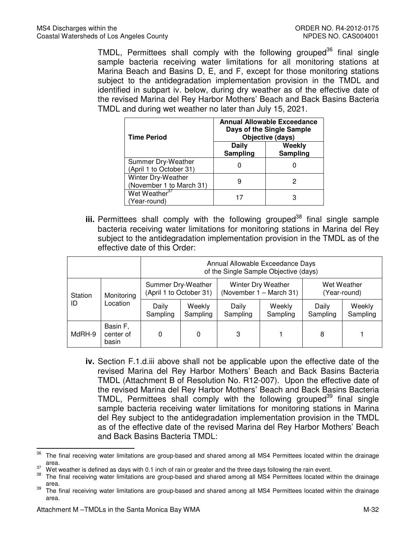TMDL, Permittees shall comply with the following grouped<sup>36</sup> final single sample bacteria receiving water limitations for all monitoring stations at Marina Beach and Basins D, E, and F, except for those monitoring stations subject to the antidegradation implementation provision in the TMDL and identified in subpart iv. below, during dry weather as of the effective date of the revised Marina del Rey Harbor Mothers' Beach and Back Basins Bacteria TMDL and during wet weather no later than July 15, 2021.

| <b>Time Period</b>                             | Annual Allowable Exceedance<br>Days of the Single Sample<br>Objective (days) |                    |  |
|------------------------------------------------|------------------------------------------------------------------------------|--------------------|--|
|                                                | Daily<br>Sampling                                                            | Weekly<br>Sampling |  |
| Summer Dry-Weather<br>(April 1 to October 31)  |                                                                              |                    |  |
| Winter Dry-Weather<br>(November 1 to March 31) |                                                                              |                    |  |
| Wet Weather <sup>37</sup><br>(Year-round)      |                                                                              |                    |  |

iii. Permittees shall comply with the following grouped<sup>38</sup> final single sample bacteria receiving water limitations for monitoring stations in Marina del Rey subject to the antidegradation implementation provision in the TMDL as of the effective date of this Order:

|         |                                  | Annual Allowable Exceedance Days<br>of the Single Sample Objective (days) |                         |                                               |                    |                             |                    |
|---------|----------------------------------|---------------------------------------------------------------------------|-------------------------|-----------------------------------------------|--------------------|-----------------------------|--------------------|
| Station | Summer Dry-Weather<br>Monitoring |                                                                           | (April 1 to October 31) | Winter Dry Weather<br>(November 1 – March 31) |                    | Wet Weather<br>(Year-round) |                    |
| ID      | Location                         | Daily<br>Sampling                                                         | Weekly<br>Sampling      | Daily<br>Sampling                             | Weekly<br>Sampling | Daily<br>Sampling           | Weekly<br>Sampling |
| MdRH-9  | Basin F,<br>center of<br>basin   |                                                                           | 0                       | 3                                             |                    | 8                           |                    |

 **iv.** Section F.1.d.iii above shall not be applicable upon the effective date of the revised Marina del Rey Harbor Mothers' Beach and Back Basins Bacteria TMDL (Attachment B of Resolution No. R12-007). Upon the effective date of the revised Marina del Rey Harbor Mothers' Beach and Back Basins Bacteria TMDL, Permittees shall comply with the following grouped<sup>39</sup> final single sample bacteria receiving water limitations for monitoring stations in Marina del Rey subject to the antidegradation implementation provision in the TMDL as of the effective date of the revised Marina del Rey Harbor Mothers' Beach and Back Basins Bacteria TMDL:

<sup>36</sup> The final receiving water limitations are group-based and shared among all MS4 Permittees located within the drainage area.

<sup>&</sup>lt;sup>37</sup> Wet weather is defined as days with 0.1 inch of rain or greater and the three days following the rain event.

The final receiving water limitations are group-based and shared among all MS4 Permittees located within the drainage area.

<sup>&</sup>lt;sup>39</sup> The final receiving water limitations are group-based and shared among all MS4 Permittees located within the drainage area.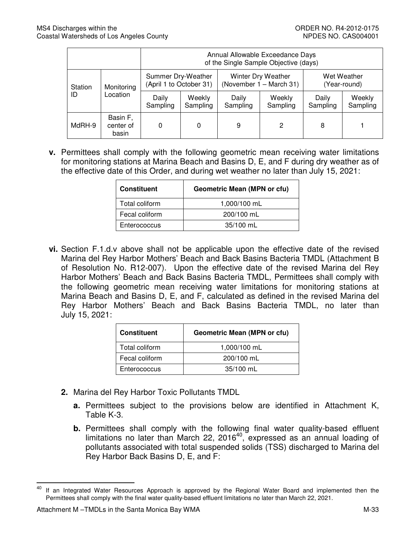|         |                                | Annual Allowable Exceedance Days<br>of the Single Sample Objective (days) |                    |                   |                                               |                   |                             |
|---------|--------------------------------|---------------------------------------------------------------------------|--------------------|-------------------|-----------------------------------------------|-------------------|-----------------------------|
| Station | Monitoring                     | Summer Dry-Weather<br>(April 1 to October 31)                             |                    |                   | Winter Dry Weather<br>(November 1 – March 31) |                   | Wet Weather<br>(Year-round) |
| ID      | Location                       | Daily<br>Sampling                                                         | Weekly<br>Sampling | Daily<br>Sampling | Weekly<br>Sampling                            | Daily<br>Sampling | Weekly<br>Sampling          |
| MdRH-9  | Basin F,<br>center of<br>basin | 0                                                                         | 0                  | 9                 | 2                                             | 8                 |                             |

 **v.** Permittees shall comply with the following geometric mean receiving water limitations for monitoring stations at Marina Beach and Basins D, E, and F during dry weather as of the effective date of this Order, and during wet weather no later than July 15, 2021:

| <b>Constituent</b> | <b>Geometric Mean (MPN or cfu)</b> |  |
|--------------------|------------------------------------|--|
| Total coliform     | 1,000/100 mL                       |  |
| Fecal coliform     | 200/100 mL                         |  |
| Enterococcus       | 35/100 mL                          |  |

 **vi.** Section F.1.d.v above shall not be applicable upon the effective date of the revised Marina del Rey Harbor Mothers' Beach and Back Basins Bacteria TMDL (Attachment B of Resolution No. R12-007). Upon the effective date of the revised Marina del Rey Harbor Mothers' Beach and Back Basins Bacteria TMDL, Permittees shall comply with the following geometric mean receiving water limitations for monitoring stations at Marina Beach and Basins D, E, and F, calculated as defined in the revised Marina del Rey Harbor Mothers' Beach and Back Basins Bacteria TMDL, no later than July 15, 2021:

| <b>Constituent</b> | <b>Geometric Mean (MPN or cfu)</b> |
|--------------------|------------------------------------|
| Total coliform     | 1,000/100 mL                       |
| Fecal coliform     | 200/100 mL                         |
| Enterococcus       | 35/100 mL                          |

- **2.** Marina del Rey Harbor Toxic Pollutants TMDL
	- **a.** Permittees subject to the provisions below are identified in Attachment K, Table K-3.
	- pollutants associated with total suspended solids (TSS) discharged to Marina del Rey Harbor Back Basins D, E, and F: **b.** Permittees shall comply with the following final water quality-based effluent limitations no later than March 22, 2016 $^{40}$ , expressed as an annual loading of

 $\overline{\phantom{0}}$ 

 Permittees shall comply with the final water quality-based effluent limitations no later than March 22, 2021. <sup>40</sup> If an Integrated Water Resources Approach is approved by the Regional Water Board and implemented then the